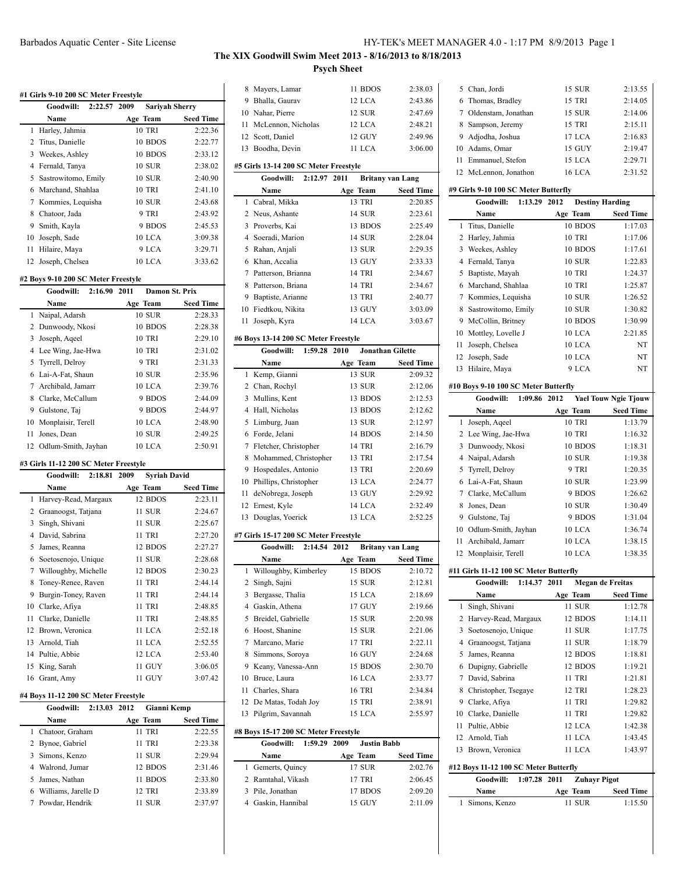**#1 Girls 9-10 200 SC Meter Freestyle**

# **The XIX Goodwill Swim Meet 2013 - 8/16/2013 to 8/18/2013 Psych Sheet**

|    | Goodwill:                             | 2:22.57 | 2009     | <b>Sariyah Sherry</b> |                  |
|----|---------------------------------------|---------|----------|-----------------------|------------------|
|    | Name                                  |         | Age Team |                       | <b>Seed Time</b> |
| 1  | Harley, Jahmia                        |         |          | <b>10 TRI</b>         | 2:22.36          |
| 2  | Titus, Danielle                       |         |          | 10 BDOS               | 2:22.77          |
| 3  | Weekes, Ashley                        |         |          | 10 BDOS               | 2:33.12          |
| 4  | Fernald, Tanya                        |         |          | 10 SUR                | 2:38.02          |
| 5  | Sastrowitomo, Emily                   |         |          | <b>10 SUR</b>         | 2:40.90          |
|    |                                       |         |          | <b>10 TRI</b>         | 2:41.10          |
| 6  | Marchand, Shahlaa                     |         |          |                       |                  |
| 7  | Kommies, Lequisha                     |         |          | <b>10 SUR</b>         | 2:43.68          |
| 8  | Chatoor, Jada                         |         |          | 9 TRI                 | 2:43.92          |
| 9  | Smith, Kayla                          |         |          | 9 BDOS                | 2:45.53          |
| 10 | Joseph, Sade                          |         |          | 10 LCA                | 3:09.38          |
| 11 | Hilaire, Maya                         |         |          | 9 LCA                 | 3:29.71          |
| 12 | Joseph, Chelsea                       |         |          | 10 LCA                | 3:33.62          |
|    | #2 Boys 9-10 200 SC Meter Freestyle   |         |          |                       |                  |
|    | Goodwill:                             | 2:16.90 | 2011     | <b>Damon St. Prix</b> |                  |
|    | Name                                  |         | Age Team |                       | <b>Seed Time</b> |
| 1  |                                       |         |          | 10 SUR                | 2:28.33          |
|    | Naipal, Adarsh                        |         |          |                       |                  |
|    | 2 Dunwoody, Nkosi                     |         |          | 10 BDOS               | 2:28.38          |
| 3  | Joseph, Aqeel                         |         |          | 10 TRI                | 2:29.10          |
| 4  | Lee Wing, Jae-Hwa                     |         |          | <b>10 TRI</b>         | 2:31.02          |
| 5  | Tyrrell, Delroy                       |         |          | 9 TRI                 | 2:31.33          |
| 6  | Lai-A-Fat, Shaun                      |         |          | 10 SUR                | 2:35.96          |
| 7  | Archibald, Jamarr                     |         |          | 10 LCA                | 2:39.76          |
| 8  | Clarke, McCallum                      |         |          | 9 BDOS                | 2:44.09          |
| 9  | Gulstone, Taj                         |         |          | 9 BDOS                | 2:44.97          |
|    | 10 Monplaisir, Terell                 |         |          | 10 LCA                | 2:48.90          |
| 11 | Jones, Dean                           |         |          | <b>10 SUR</b>         | 2:49.25          |
| 12 | Odlum-Smith, Jayhan                   |         |          | 10 LCA                | 2:50.91          |
|    |                                       |         |          |                       |                  |
|    | #3 Girls 11-12 200 SC Meter Freestyle |         |          |                       |                  |
|    | Goodwill:                             | 2:18.81 | 2009     | <b>Syriah David</b>   |                  |
|    | Name                                  |         | Age Team |                       | Seed Time        |
| 1  | Harvey-Read, Margaux                  |         |          | 12 BDOS               | 2:23.11          |
| 2  | Graanoogst, Tatjana                   |         |          | 11 SUR                | 2:24.67          |
| 3  | Singh, Shivani                        |         |          | 11 SUR                | 2:25.67          |
| 4  | David, Sabrina                        |         |          | 11 TRI                | 2:27.20          |
| 5  | James, Reanna                         |         |          | 12 BDOS               | 2:27.27          |
| 6  | Soetosenojo, Unique                   |         |          | 11 SUR                | 2:28.68          |
| 7  | Willoughby, Michelle                  |         |          | 12 BDOS               | 2:30.23          |
| 8  | Toney-Renee, Raven                    |         |          | <b>11 TRI</b>         | 2:44.14          |
| 9  | Burgin-Toney, Raven                   |         |          | 11 TRI                | 2:44.14          |
|    | 10 Clarke, Afiya                      |         |          | 11 TRI                | 2:48.85          |
|    | 11 Clarke, Danielle                   |         |          | 11 TRI                | 2:48.85          |
|    | 12 Brown, Veronica                    |         |          | 11 LCA                | 2:52.18          |
|    | 13 Arnold, Tiah                       |         |          | 11 LCA                | 2:52.55          |
|    | 14 Pultie, Abbie                      |         |          | 12 LCA                | 2:53.40          |
| 15 | King, Sarah                           |         |          | 11 GUY                | 3:06.05          |
| 16 | Grant, Amy                            |         |          | 11 GUY                | 3:07.42          |
|    |                                       |         |          |                       |                  |
|    | #4 Boys 11-12 200 SC Meter Freestyle  |         |          |                       |                  |
|    | Goodwill:                             | 2:13.03 | 2012     | <b>Gianni Kemp</b>    |                  |
|    | Name                                  |         | Age Team |                       | Seed Time        |
| 1  | Chatoor, Graham                       |         |          | 11 TRI                | 2:22.55          |
|    | 2 Bynoe, Gabriel                      |         |          | 11 TRI                | 2:23.38          |
|    | 3 Simons, Kenzo                       |         |          | 11 SUR                | 2:29.94          |
|    | 4 Walrond, Jumar                      |         |          | 12 BDOS               | 2:31.46          |
| 5  | James, Nathan                         |         |          | 11 BDOS               | 2:33.80          |
|    | 6 Williams, Jarelle D                 |         |          | 12 TRI                | 2:33.89          |
| 7  | Powdar, Hendrik                       |         |          | 11 SUR                | 2:37.97          |
|    |                                       |         |          |                       |                  |
|    |                                       |         |          |                       |                  |

| 1<br>3 | Name<br>Gemerts, Quincy<br>2 Ramtahal, Vikash<br>Pile, Jonathan<br>4 Gaskin, Hannibal | 17 SUR<br>17 TRI<br>17 BDOS<br>15 GUY | 2:02.76<br>2:06.45<br>2:09.20<br>2:11.09 |
|--------|---------------------------------------------------------------------------------------|---------------------------------------|------------------------------------------|
|        |                                                                                       |                                       |                                          |
|        |                                                                                       |                                       |                                          |
|        |                                                                                       |                                       |                                          |
|        |                                                                                       |                                       |                                          |
|        |                                                                                       | Age Team                              | <b>Seed Time</b>                         |
|        | Goodwill:<br>1:59.29                                                                  | 2009<br><b>Justin Babb</b>            |                                          |
|        | #8 Boys 15-17 200 SC Meter Freestyle                                                  |                                       |                                          |
| 13     | Pilgrim, Savannah                                                                     | 15 LCA                                | 2:55.97                                  |
|        | 12 De Matas, Todah Joy                                                                | 15 TRI                                | 2:38.91                                  |
|        | 11 Charles, Shara                                                                     | 16 TRI                                | 2:34.84                                  |
|        | 10 Bruce, Laura                                                                       | 16 LCA                                | 2:33.77                                  |
|        | 9 Keany, Vanessa-Ann                                                                  | 15 BDOS                               | 2:30.70                                  |
| 8      | Simmons, Soroya                                                                       | 16 GUY                                | 2:24.68                                  |
|        | 7 Marcano, Marie                                                                      | 17 TRI                                | 2:22.11                                  |
|        | 6 Hoost, Shanine                                                                      | 15 SUR                                | 2:21.06                                  |
| 5      | Breidel, Gabrielle                                                                    | 15 SUR                                | 2:20.98                                  |
|        | 4 Gaskin, Athena                                                                      | 17 GUY                                | 2:19.66                                  |
| 3      | Bergasse, Thalia                                                                      | 15 LCA                                | 2:18.69                                  |
| 2      | Singh, Sajni                                                                          | 15 SUR                                | 2:12.81                                  |
| 1      | Willoughby, Kimberley                                                                 | 15 BDOS                               | 2:10.72                                  |
|        | Name                                                                                  | Age Team                              | <b>Seed Time</b>                         |
|        | Goodwill: 2:14.54 2012                                                                | <b>Britany van Lang</b>               |                                          |
|        | #7 Girls 15-17 200 SC Meter Freestyle                                                 |                                       |                                          |
|        |                                                                                       |                                       |                                          |
| 13     | Douglas, Yoerick                                                                      | 13 LCA                                | 2:52.25                                  |
| 12     | Ernest, Kyle                                                                          | 14 LCA                                | 2:32.49                                  |
| 11     | deNobrega, Joseph                                                                     | 13 GUY                                | 2:29.92                                  |
|        | 10 Phillips, Christopher                                                              | 13 LCA                                | 2:24.77                                  |
|        | 9 Hospedales, Antonio                                                                 | 13 TRI                                | 2:20.69                                  |
| 8      | Mohammed, Christopher                                                                 | 13 TRI                                | 2:17.54                                  |
| 7      | Fletcher, Christopher                                                                 | 14 TRI                                | 2:16.79                                  |
|        | 6 Forde, Jelani                                                                       | 14 BDOS                               | 2:14.50                                  |
|        | 5 Limburg, Juan                                                                       | 13 SUR                                | 2:12.97                                  |
|        | 4 Hall, Nicholas                                                                      | 13 BDOS                               | 2:12.62                                  |
| 3      | Mullins, Kent                                                                         | 13 BDOS                               | 2:12.53                                  |
|        | 2 Chan, Rochyl                                                                        | 13 SUR                                | 2:12.06                                  |
| 1      | Kemp, Gianni                                                                          | <b>13 SUR</b>                         | 2:09.32                                  |
|        | Name                                                                                  | Age Team                              | <b>Seed Time</b>                         |
|        | Goodwill:<br>1:59.28                                                                  | 2010<br><b>Jonathan Gilette</b>       |                                          |
|        | #6 Boys 13-14 200 SC Meter Freestyle                                                  |                                       |                                          |
| 11     | Joseph, Kyra                                                                          | 14 LCA                                | 3:03.67                                  |
|        | 10 Fiedtkou, Nikita                                                                   | 13 GUY                                | 3:03.09                                  |
|        | 9 Baptiste, Arianne                                                                   | 13 TRI                                | 2:40.77                                  |
|        |                                                                                       |                                       |                                          |
|        | 8 Patterson, Briana                                                                   | 14 TRI                                | 2:34.67                                  |
|        | 7 Patterson, Brianna                                                                  | 14 TRI                                | 2:34.67                                  |
|        | 6 Khan, Accalia                                                                       | 13 GUY                                | 2:33.33                                  |
| 5      | Rahan, Anjali                                                                         | 13 SUR                                | 2:29.35                                  |
|        | 4 Soeradi, Marion                                                                     | 14 SUR                                | 2:28.04                                  |
| 3      | Proverbs, Kai                                                                         | 13 BDOS                               | 2:25.49                                  |
|        | 2 Neus, Ashante                                                                       | 14 SUR                                | 2:23.61                                  |
| 1      | Cabral, Mikka                                                                         | 13 TRI                                | 2:20.85                                  |
|        | Name                                                                                  | Age Team                              | <b>Seed Time</b>                         |
|        | Goodwill:<br>2:12.97                                                                  | 2011<br><b>Britany van Lang</b>       |                                          |
|        | #5 Girls 13-14 200 SC Meter Freestyle                                                 |                                       |                                          |
| 13     | Boodha, Devin                                                                         | 11 LCA                                | 3:06.00                                  |
|        | 12 Scott, Daniel                                                                      | 12 GUY                                | 2:49.96                                  |
| 11     | McLennon, Nicholas                                                                    | 12 LCA                                | 2:48.21                                  |
|        | 10 Nahar, Pierre                                                                      | 12 SUR                                | 2:47.69                                  |
| 9      | Bhalla, Gaurav                                                                        | 12 LCA                                | 2:43.86                                  |
| 8      | Mayers, Lamar                                                                         | 11 BDOS                               | 2:38.03                                  |
|        |                                                                                       |                                       |                                          |

| 5 Chan, Jordi         | 15 SUR        | 2:13.55 |
|-----------------------|---------------|---------|
| 6 Thomas, Bradley     | 15 TRI        | 2:14.05 |
| 7 Oldenstam, Jonathan | <b>15 SUR</b> | 2:14.06 |
| 8 Sampson, Jeremy     | 15 TRI        | 2:15.11 |
| 9 Adjodha, Joshua     | 17 LCA        | 2:16.83 |
| 10 Adams, Omar        | 15 GUY        | 2:19.47 |
| 11 Emmanuel, Stefon   | 15 LCA        | 2:29.71 |
| 12 McLennon, Jonathon | 16 LCA        | 2:31.52 |
|                       |               |         |

#### **#9 Girls 9-10 100 SC Meter Butterfly**

|    | #9 Girls 9-10 100 SC Meter Butterfly   |         |      |                          |                             |
|----|----------------------------------------|---------|------|--------------------------|-----------------------------|
|    | Goodwill:                              | 1:13.29 | 2012 |                          | <b>Destiny Harding</b>      |
|    | Name                                   |         |      | Age Team                 | <b>Seed Time</b>            |
| 1  | Titus, Danielle                        |         |      | 10 BDOS                  | 1:17.03                     |
|    | 2 Harley, Jahmia                       |         |      | <b>10 TRI</b>            | 1:17.06                     |
|    | 3 Weekes, Ashley                       |         |      | 10 BDOS<br><b>10 SUR</b> | 1:17.61                     |
|    | 4 Fernald, Tanya                       |         |      |                          | 1:22.83                     |
|    | 5 Baptiste, Mayah                      |         |      | 10 TRI                   | 1:24.37                     |
|    | 6 Marchand, Shahlaa                    |         |      | <b>10 TRI</b>            | 1:25.87                     |
|    | 7 Kommies, Lequisha                    |         |      | 10 SUR                   | 1:26.52                     |
| 8  | Sastrowitomo, Emily                    |         |      | <b>10 SUR</b>            | 1:30.82                     |
|    | 9 McCollin, Britney                    |         |      | 10 BDOS<br>10 LCA        | 1:30.99                     |
|    | 10 Mottley, Lovelle J                  |         |      |                          | 2:21.85                     |
| 11 | Joseph, Chelsea                        |         |      | 10 LCA                   | NT                          |
| 12 | Joseph, Sade                           |         |      | 10 LCA                   | NT                          |
| 13 | Hilaire, Maya                          |         |      | 9 LCA                    | NT                          |
|    | #10 Boys 9-10 100 SC Meter Butterfly   |         |      |                          |                             |
|    | Goodwill:                              | 1:09.86 | 2012 |                          | <b>Yael Touw Ngie Tjouw</b> |
|    | Name                                   |         |      | Age Team                 | <b>Seed Time</b>            |
| 1  | Joseph, Aqeel                          |         |      | 10 TRI                   | 1:13.79                     |
| 2  | Lee Wing, Jae-Hwa                      |         |      | 10 TRI                   | 1:16.32                     |
| 3  | Dunwoody, Nkosi                        |         |      | 10 BDOS                  | 1:18.31                     |
|    | 4 Naipal, Adarsh                       |         |      | <b>10 SUR</b>            | 1:19.38                     |
| 5  | Tyrrell, Delroy                        |         |      | 9 TRI                    | 1:20.35                     |
|    | 6 Lai-A-Fat, Shaun                     |         |      | <b>10 SUR</b>            | 1:23.99                     |
|    | 7 Clarke, McCallum                     |         |      | 9 BDOS                   | 1:26.62                     |
|    | 8 Jones, Dean                          |         |      | <b>10 SUR</b>            | 1:30.49                     |
|    | 9 Gulstone, Taj                        |         |      | 9 BDOS                   | 1:31.04                     |
|    | 10 Odlum-Smith, Jayhan                 |         |      | 10 LCA                   | 1:36.74                     |
| 11 | Archibald, Jamarr                      |         |      | 10 LCA                   | 1:38.15                     |
|    | 12 Monplaisir, Terell                  |         |      | 10 LCA                   | 1:38.35                     |
|    | #11 Girls 11-12 100 SC Meter Butterfly |         |      |                          |                             |
|    | Goodwill:                              | 1:14.37 | 2011 |                          | <b>Megan de Freitas</b>     |
|    | Name                                   |         |      | Age Team                 | <b>Seed Time</b>            |
| 1  | Singh, Shivani                         |         |      | 11 SUR                   | 1:12.78                     |
| 2  | Harvey-Read, Margaux                   |         |      | 12 BDOS                  | 1:14.11                     |
| 3  | Soetosenojo, Unique                    |         |      | 11 SUR                   | 1:17.75                     |
|    | 4 Graanoogst, Tatjana                  |         |      | 11 SUR                   | 1:18.79                     |
| 5  | James, Reanna                          |         |      | 12 BDOS                  | 1:18.81                     |
| 6  | Dupigny, Gabrielle                     |         |      | 12 BDOS                  | 1:19.21                     |
| 7  | David, Sabrina                         |         |      | 11 TRI                   | 1:21.81                     |
|    | 8 Christopher, Tsegaye                 |         |      | 12 TRI                   | 1:28.23                     |
|    | 9 Clarke, Afiya                        |         |      | 11 TRI                   | 1:29.82                     |
|    | 10 Clarke, Danielle                    |         |      | 11 TRI                   | 1:29.82                     |
|    | 11 Pultie, Abbie                       |         |      | 12 LCA                   | 1:42.38                     |
|    | 12 Arnold, Tiah                        |         |      | 11 LCA                   | 1:43.45                     |
|    | 13 Brown, Veronica                     |         |      | 11 LCA                   | 1:43.97                     |
|    | #12 Boys 11-12 100 SC Meter Butterfly  |         |      |                          |                             |
|    | Goodwill:                              | 1:07.28 | 2011 | <b>Zuhayr Pigot</b>      |                             |
|    | Name                                   |         |      | Age Team                 | <b>Seed Time</b>            |
| 1  | Simons, Kenzo                          |         |      | 11 SUR                   | 1:15.50                     |
|    |                                        |         |      |                          |                             |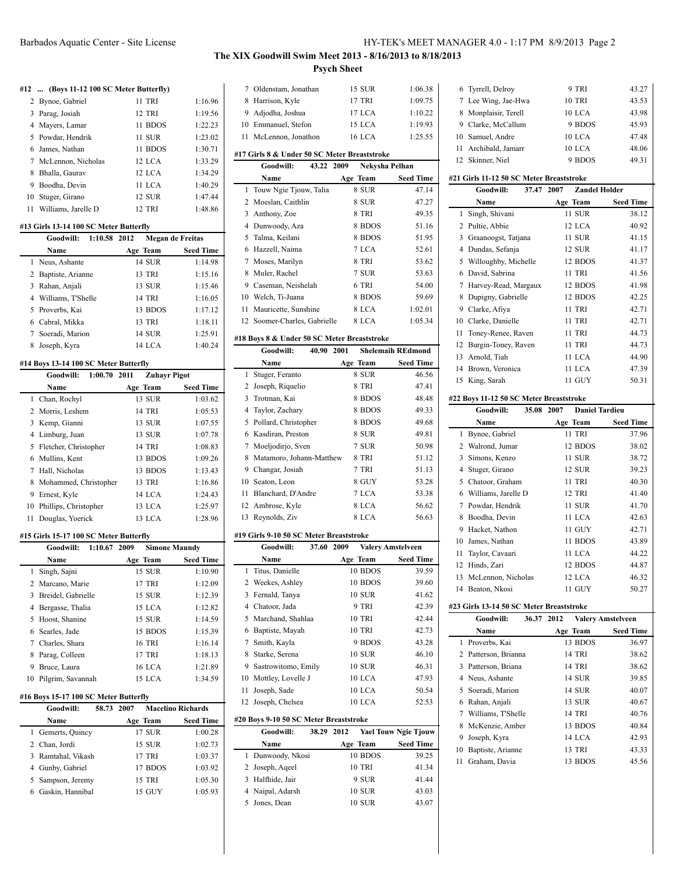# **The XIX Goodwill Swim Meet 2013 - 8/16/2013 to 8/18/2013 Psych Sheet**

### **#12 ... (Boys 11-12 100 SC Meter Butterfly)**

| 2 Bynoe, Gabriel       | 11 TRI        | 1:16.96 |
|------------------------|---------------|---------|
| 3 Parag, Josiah        | 12 TRI        | 1:19.56 |
| 4 Mayers, Lamar        | 11 BDOS       | 1:22.23 |
| 5 Powdar, Hendrik      | 11 SUR        | 1:23.02 |
| 6 James, Nathan        | 11 BDOS       | 1:30.71 |
| 7 McLennon, Nicholas   | 12 LCA        | 1:33.29 |
| 8 Bhalla, Gaurav       | 12 LCA        | 1:34.29 |
| 9 Boodha, Devin        | 11 LCA        | 1:40.29 |
| 10 Stuger, Girano      | <b>12 SUR</b> | 1:47.44 |
| 11 Williams, Jarelle D | 12 TRI        | 1:48.86 |

### **#13 Girls 13-14 100 SC Meter Butterfly**

|   | Goodwill:<br>1:10.58 2012 | Megan de Freitas |                  |
|---|---------------------------|------------------|------------------|
|   | Name                      | Age Team         | <b>Seed Time</b> |
|   | 1 Neus, Ashante           | <b>14 SUR</b>    | 1:14.98          |
|   | 2 Baptiste, Arianne       | 13 TRI           | 1:15.16          |
| 3 | Rahan, Anjali             | 13 SUR           | 1:15.46          |
|   | 4 Williams, T'Shelle      | <b>14 TRI</b>    | 1:16.05          |
|   | 5 Proverbs, Kai           | 13 BDOS          | 1:17.12          |
| 6 | Cabral, Mikka             | 13 TRI           | 1:18.11          |
|   | Soeradi, Marion           | <b>14 SUR</b>    | 1:25.91          |
|   | Joseph, Kyra              | 14 LCA           | 1:40.24          |

### **#14 Boys 13-14 100 SC Meter Butterfly**

|    | Goodwill:               | 1:00.70 2011 | <b>Zuhavr Pigot</b> |                  |
|----|-------------------------|--------------|---------------------|------------------|
|    | <b>Name</b>             |              | Age Team            | <b>Seed Time</b> |
|    | 1 Chan, Rochyl          |              | 13 SUR              | 1:03.62          |
|    | 2 Morris, Leshem        |              | <b>14 TRI</b>       | 1:05.53          |
|    | 3 Kemp, Gianni          |              | 13 SUR              | 1:07.55          |
| 4  | Limburg, Juan           |              | 13 SUR              | 1:07.78          |
|    | 5 Fletcher, Christopher |              | <b>14 TRI</b>       | 1:08.83          |
|    | 6 Mullins, Kent         |              | 13 BDOS             | 1:09.26          |
| 7  | Hall, Nicholas          |              | 13 BDOS             | 1:13.43          |
| 8  | Mohammed, Christopher   |              | <b>13 TRI</b>       | 1:16.86          |
| 9  | Ernest, Kyle            |              | 14 LCA              | 1:24.43          |
| 10 | Phillips, Christopher   |              | 13 LCA              | 1:25.97          |
| 11 | Douglas, Yoerick        |              | 13 LCA              | 1:28.96          |

### **#15 Girls 15-17 100 SC Meter Butterfly**

|    | 1:10.67 2009<br>Goodwill: | <b>Simone Maundy</b> |                  |
|----|---------------------------|----------------------|------------------|
|    | <b>Name</b>               | Age Team             | <b>Seed Time</b> |
|    | 1 Singh, Sajni            | 15 SUR               | 1:10.90          |
|    | 2 Marcano, Marie          | 17 TRI               | 1:12.09          |
| 3  | Breidel, Gabrielle        | 15 SUR               | 1:12.39          |
| 4  | Bergasse, Thalia          | 15 LCA               | 1:12.82          |
| 5  | Hoost, Shanine            | 15 SUR               | 1:14.59          |
|    | 6 Searles, Jade           | 15 BDOS              | 1:15.39          |
|    | 7 Charles, Shara          | <b>16 TRI</b>        | 1:16.14          |
| 8  | Parag, Colleen            | 17 TRI               | 1:18.13          |
| 9  | Bruce, Laura              | 16 LCA               | 1:21.89          |
| 10 | Pilgrim, Savannah         | 15 LCA               | 1:34.59          |

### **#16 Boys 15-17 100 SC Meter Butterfly**

| <b>Goodwill:</b>   | 58.73 2007    | <b>Macelino Richards</b> |
|--------------------|---------------|--------------------------|
| <b>Name</b>        | Age Team      | <b>Seed Time</b>         |
| 1 Gemerts, Quincy  | 17 SUR        | 1:00.28                  |
| 2 Chan, Jordi      | 15 SUR        | 1:02.73                  |
| 3 Ramtahal, Vikash | 17 TRI        | 1:03.37                  |
| Gunby, Gabriel     | 17 BDOS       | 1:03.92                  |
| 5 Sampson, Jeremy  | <b>15 TRI</b> | 1:05.30                  |
| Gaskin, Hannibal   | 15 GUY        | 1:05.93                  |

| 7                                           | Oldenstam, Jonathan                          | <b>15 SUR</b>  | 1:06.38                  |  |
|---------------------------------------------|----------------------------------------------|----------------|--------------------------|--|
| 8                                           | Harrison, Kyle                               | 17 TRI         | 1:09.75                  |  |
| 9                                           | Adjodha, Joshua                              | 17 LCA         | 1:10.22                  |  |
| 10                                          | Emmanuel, Stefon                             | 15 LCA         | 1:19.93                  |  |
| 11                                          | McLennon, Jonathon                           | <b>16 LCA</b>  | 1:25.55                  |  |
|                                             | #17 Girls 8 & Under 50 SC Meter Breaststroke |                |                          |  |
|                                             | Goodwill:<br>43.22 2009                      | Nekysha Pelhan |                          |  |
|                                             | Name                                         | Age Team       | <b>Seed Time</b>         |  |
| 1                                           | Touw Ngie Tiouw, Talia                       | 8 SUR          | 47.14                    |  |
| 2                                           | Moeslan, Caithlin                            | 8 SUR          | 47.27                    |  |
| 3                                           | Anthony, Zoe                                 | 8 TRI          | 49.35                    |  |
| 4                                           | Dunwoody, Aza                                | 8 BDOS         | 51.16                    |  |
| 5                                           | Talma, Keilani                               | 8 BDOS         | 51.95                    |  |
| 6                                           | Hazzell, Naima                               | 7 LCA          | 52.61                    |  |
| 7                                           | Moses, Marilyn                               | 8 TRI          | 53.62                    |  |
| 8                                           | Muler, Rachel                                | 7 SUR          | 53.63                    |  |
| 9                                           | Caseman, Neishelah                           | 6 TRI          | 54.00                    |  |
| 10                                          | Welch, Ti-Juana                              | 8 BDOS         | 59.69                    |  |
| 11                                          | Mauricette, Sunshine                         | 8 LCA          | 1:02.01                  |  |
| 12                                          | Soomer-Charles, Gabrielle                    | 8 LCA          | 1:05.34                  |  |
| #18 Boys 8 & Under 50 SC Meter Breaststroke |                                              |                |                          |  |
|                                             | Goodwill:<br>40.90 2001                      |                | <b>Shelemaih REdmond</b> |  |
|                                             | Name                                         | Age Team       | <b>Seed Time</b>         |  |
| 1                                           | Stuger, Feranto                              | 8 SUR          | 46.56                    |  |
| 2                                           | Joseph, Riquelio                             | 8 TRI          | 47.41                    |  |
|                                             |                                              |                |                          |  |

|     | 2 Joseph, Riquelio         | <b>8 TRI</b> | 47.41 |
|-----|----------------------------|--------------|-------|
|     | 3 Trotman, Kai             | 8 BDOS       | 48.48 |
| 4   | Taylor, Zachary            | 8 BDOS       | 49.33 |
|     | 5 Pollard, Christopher     | 8 BDOS       | 49.68 |
|     | 6 Kasdiran, Preston        | 8 SUR        | 49.81 |
|     | 7 Moeljodirjo, Sven        | 7 SUR        | 50.98 |
|     | 8 Matamoro, Johann-Matthew | 8 TRI        | 51.12 |
| 9   | Changar, Josiah            | 7 TRI        | 51.13 |
| 10. | Seaton, Leon               | 8 GUY        | 53.28 |
| 11  | Blanchard, D'Andre         | 7 LCA        | 53.38 |
|     | 12 Ambrose, Kyle           | 8 LCA        | 56.62 |
| 13  | Reynolds, Ziv              | 8 LCA        | 56.63 |

### **#19 Girls 9-10 50 SC Meter Breaststroke**

|    | Goodwill:           | 37.60 | 2009 | <b>Valery Amstelveen</b> |                  |
|----|---------------------|-------|------|--------------------------|------------------|
|    | Name                |       |      | Age Team                 | <b>Seed Time</b> |
|    | 1 Titus, Danielle   |       |      | 10 BDOS                  | 39.59            |
| 2  | Weekes, Ashley      |       |      | 10 BDOS                  | 39.60            |
| 3  | Fernald, Tanya      |       |      | 10 SUR                   | 41.62            |
| 4  | Chatoor, Jada       |       |      | 9 TRI                    | 42.39            |
| 5. | Marchand, Shahlaa   |       |      | <b>10 TRI</b>            | 42.44            |
| 6  | Baptiste, Mayah     |       |      | <b>10 TRI</b>            | 42.73            |
| 7  | Smith, Kayla        |       |      | 9 BDOS                   | 43.28            |
| 8  | Starke, Serena      |       |      | <b>10 SUR</b>            | 46.10            |
| 9  | Sastrowitomo, Emily |       |      | 10 SUR                   | 46.31            |
| 10 | Mottley, Lovelle J  |       |      | 10 LCA                   | 47.93            |
| 11 | Joseph, Sade        |       |      | 10 LCA                   | 50.54            |
| 12 | Joseph, Chelsea     |       |      | 10 LCA                   | 52.53            |

### **#20 Boys 9-10 50 SC Meter Breaststroke**

| Goodwill:         | 38.29 2012 |               | <b>Yael Touw Ngie Tjouw</b> |
|-------------------|------------|---------------|-----------------------------|
| Name              |            | Age Team      | <b>Seed Time</b>            |
| 1 Dunwoody, Nkosi |            | 10 BDOS       | 39.25                       |
| 2 Joseph, Ageel   |            | <b>10 TRI</b> | 41.34                       |
| 3 Halfhide, Jair  |            | 9 SUR         | 41.44                       |
| 4 Naipal, Adarsh  |            | 10 SUR        | 43.03                       |
| Jones, Dean       |            | <b>10 SUR</b> | 43.07                       |

| 6 Tyrrell, Delroy    | 9 TRI  | 43.27 |
|----------------------|--------|-------|
| 7 Lee Wing, Jae-Hwa  | 10 TRI | 43.53 |
| 8 Monplaisir, Terell | 10 LCA | 43.98 |
| 9 Clarke, McCallum   | 9 BDOS | 45.93 |
| 10 Samuel, Andre     | 10 LCA | 47.48 |
| 11 Archibald, Jamarr | 10 LCA | 48.06 |
| 12 Skinner, Niel     | 9 BDOS | 49.31 |

### **#21 Girls 11-12 50 SC Meter Breaststroke**

|                                         | Goodwill:<br>37.47   | <b>Zandel Holder</b><br>2007 |                  |  |
|-----------------------------------------|----------------------|------------------------------|------------------|--|
|                                         | Name                 | Age Team                     | <b>Seed Time</b> |  |
| 1                                       | Singh, Shivani       | 11 SUR                       | 38.12            |  |
| 2                                       | Pultie, Abbie        | 12 LCA                       | 40.92            |  |
| 3                                       | Graanoogst, Tatjana  | 11 SUR                       | 41.15            |  |
| 4                                       | Dundas, Sefanja      | 12 SUR                       | 41.17            |  |
| 5                                       | Willoughby, Michelle | 12 BDOS                      | 41.37            |  |
| 6                                       | David, Sabrina       | 11 TRI                       | 41.56            |  |
| 7                                       | Harvey-Read, Margaux | 12 BDOS                      | 41.98            |  |
| 8                                       | Dupigny, Gabrielle   | 12 BDOS                      | 42.25            |  |
| 9                                       | Clarke, Afiya        | 11 TRI                       | 42.71            |  |
| 10                                      | Clarke, Danielle     | 11 TRI                       | 42.71            |  |
| 11                                      | Toney-Renee, Raven   | 11 TRI                       | 44.73            |  |
| 12                                      | Burgin-Toney, Raven  | 11 TRI                       | 44.73            |  |
| 13                                      | Arnold, Tiah         | 11 LCA                       | 44.90            |  |
|                                         | 14 Brown, Veronica   | 11 LCA                       | 47.39            |  |
| 15                                      | King, Sarah          | 11 GUY                       | 50.31            |  |
| #22 Boys 11-12 50 SC Meter Breaststroke |                      |                              |                  |  |

| Goodwill:<br>35.08 |                                          | <b>Daniel Tardieu</b><br>2007          |                  |
|--------------------|------------------------------------------|----------------------------------------|------------------|
|                    | Name                                     | Age Team                               | <b>Seed Time</b> |
| 1                  | Bynoe, Gabriel                           | 11 TRI                                 | 37.96            |
| 2                  | Walrond, Jumar                           | 12 BDOS                                | 38.02            |
| 3                  | Simons, Kenzo                            | 11 SUR                                 | 38.72            |
| 4                  | Stuger, Girano                           | <b>12 SUR</b>                          | 39.23            |
| 5                  | Chatoor, Graham                          | 11 TRI                                 | 40.30            |
| 6                  | Williams, Jarelle D                      | 12 TRI                                 | 41.40            |
| 7                  | Powdar, Hendrik                          | 11 SUR                                 | 41.70            |
| 8                  | Boodha, Devin                            | 11 LCA                                 | 42.63            |
| 9                  | Hacket, Nathon                           | 11 GUY                                 | 42.71            |
| 10                 | James, Nathan                            | 11 BDOS                                | 43.89            |
| 11                 | Taylor, Cavaari                          | 11 LCA                                 | 44.22            |
| 12                 | Hinds, Zari                              | 12 BDOS                                | 44.87            |
| 13                 | McLennon, Nicholas                       | 12 LCA                                 | 46.32            |
|                    | 14 Beaton, Nkosi                         | 11 GUY                                 | 50.27            |
|                    | #23 Girls 13-14 50 SC Meter Breaststroke |                                        |                  |
|                    | Goodwill:                                | 36.37 2012<br><b>Valery Amstelveen</b> |                  |
|                    | Name                                     | Age Team                               | <b>Seed Time</b> |
| 1                  | Proverbs, Kai                            | 13 BDOS                                | 36.97            |

|    | Name                 | Age Team      | <b>Seed Time</b> |
|----|----------------------|---------------|------------------|
|    | 1 Proverbs, Kai      | 13 BDOS       | 36.97            |
|    | 2 Patterson, Brianna | <b>14 TRI</b> | 38.62            |
|    | 3 Patterson, Briana  | <b>14 TRI</b> | 38.62            |
|    | 4 Neus, Ashante      | 14 SUR        | 39.85            |
|    | 5 Soeradi, Marion    | 14 SUR        | 40.07            |
| 6  | Rahan, Anjali        | 13 SUR        | 40.67            |
|    | Williams, T'Shelle   | <b>14 TRI</b> | 40.76            |
| 8  | McKenzie, Amber      | 13 BDOS       | 40.84            |
| 9  | Joseph, Kyra         | 14 LCA        | 42.93            |
| 10 | Baptiste, Arianne    | 13 TRI        | 43.33            |
| 11 | Graham, Davia        | 13 BDOS       | 45.56            |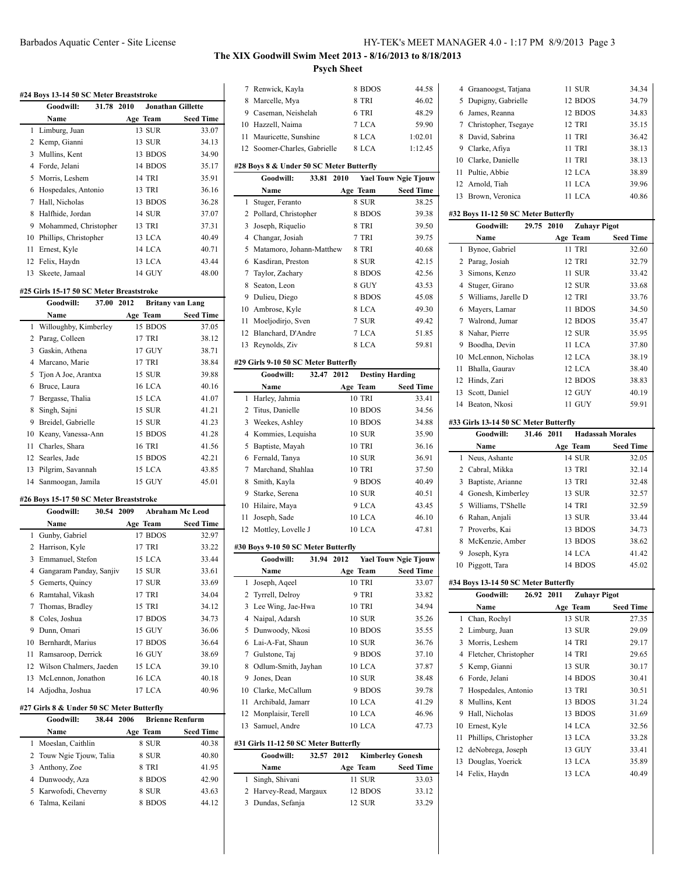# **The XIX Goodwill Swim Meet 2013 - 8/16/2013 to 8/18/2013 Psych Sheet**

| #24 Boys 13-14 50 SC Meter Breaststroke |                                           |                                |                        |
|-----------------------------------------|-------------------------------------------|--------------------------------|------------------------|
|                                         | Goodwill:<br>31.78 2010                   | <b>Jonathan Gillette</b>       |                        |
|                                         | Name                                      | Age Team                       | <b>Seed Time</b>       |
| 1                                       | Limburg, Juan                             | 13 SUR                         | 33.07                  |
| 2                                       | Kemp, Gianni                              | 13 SUR                         | 34.13                  |
|                                         | 3 Mullins, Kent                           | 13 BDOS                        | 34.90                  |
|                                         | 4 Forde, Jelani                           | 14 BDOS                        | 35.17                  |
|                                         | 5 Morris, Leshem                          | 14 TRI                         | 35.91                  |
|                                         | 6 Hospedales, Antonio                     | 13 TRI                         | 36.16                  |
|                                         | 7 Hall, Nicholas                          | 13 BDOS                        | 36.28                  |
|                                         |                                           |                                |                        |
|                                         | 8 Halfhide, Jordan                        | <b>14 SUR</b>                  | 37.07                  |
|                                         | 9 Mohammed, Christopher                   | 13 TRI                         | 37.31                  |
|                                         | 10 Phillips, Christopher                  | 13 LCA                         | 40.49                  |
|                                         | 11 Ernest, Kyle                           | 14 LCA                         | 40.71                  |
| 12                                      | Felix, Haydn                              | 13 LCA                         | 43.44                  |
|                                         | 13 Skeete, Jamaal                         | 14 GUY                         | 48.00                  |
|                                         | #25 Girls 15-17 50 SC Meter Breaststroke  |                                |                        |
|                                         | Goodwill:<br>37.00 2012                   | <b>Britany van Lang</b>        |                        |
|                                         | Name                                      | Age Team                       | <b>Seed Time</b>       |
| 1                                       | Willoughby, Kimberley                     | 15 BDOS                        | 37.05                  |
|                                         | 2 Parag, Colleen                          | 17 TRI                         | 38.12                  |
|                                         | 3 Gaskin, Athena                          | 17 GUY                         | 38.71                  |
|                                         | 4 Marcano, Marie                          | 17 TRI                         | 38.84                  |
|                                         | 5 Tjon A Joe, Arantxa                     | 15 SUR                         | 39.88                  |
|                                         |                                           |                                |                        |
|                                         | 6 Bruce, Laura                            | <b>16 LCA</b>                  | 40.16                  |
|                                         | 7 Bergasse, Thalia                        | 15 LCA                         | 41.07                  |
|                                         | 8 Singh, Sajni                            | 15 SUR                         | 41.21                  |
|                                         | 9 Breidel, Gabrielle                      | 15 SUR                         | 41.23                  |
|                                         | 10 Keany, Vanessa-Ann                     | 15 BDOS                        | 41.28                  |
|                                         | 11 Charles, Shara                         | 16 TRI                         | 41.56                  |
|                                         | 12 Searles, Jade                          | 15 BDOS                        | 42.21                  |
|                                         | 13 Pilgrim, Savannah                      | 15 LCA                         | 43.85                  |
| 14                                      | Sanmoogan, Jamila                         | 15 GUY                         | 45.01                  |
|                                         | #26 Boys 15-17 50 SC Meter Breaststroke   |                                |                        |
|                                         | 30.54<br>Goodwill:                        | 2009                           | <b>Abraham Mc Leod</b> |
|                                         | Name                                      | Age Team                       | <b>Seed Time</b>       |
|                                         | 1 Gunby, Gabriel                          | 17 BDOS                        | 32.97                  |
|                                         | 2 Harrison, Kyle                          | 17 TRI                         | 33.22                  |
|                                         | 3 Emmanuel, Stefon                        | 15 LCA                         | 33.44                  |
|                                         | 4 Gangaram Panday, Sanjiv                 | 15 SUR                         | 33.61                  |
|                                         |                                           |                                |                        |
|                                         | 5 Gemerts, Quincy                         | 17 SUR                         | 33.69                  |
|                                         | 6 Ramtahal, Vikash                        | 17 TRI                         | 34.04                  |
|                                         | 7 Thomas, Bradley                         | 15 TRI                         | 34.12                  |
|                                         | 8 Coles, Joshua                           | 17 BDOS                        | 34.73                  |
|                                         | 9 Dunn, Omari                             | 15 GUY                         | 36.06                  |
|                                         | 10 Bernhardt, Marius                      | 17 BDOS                        | 36.64                  |
| 11                                      | Ramsaroop, Derrick                        | 16 GUY                         | 38.69                  |
| 12                                      | Wilson Chalmers, Jaeden                   | 15 LCA                         | 39.10                  |
| 13                                      | McLennon, Jonathon                        | 16 LCA                         | 40.18                  |
|                                         | 14 Adjodha, Joshua                        | 17 LCA                         | 40.96                  |
|                                         | #27 Girls 8 & Under 50 SC Meter Butterfly |                                |                        |
|                                         | 38.44<br>Goodwill:                        | 2006<br><b>Brienne Renfurm</b> |                        |
|                                         |                                           |                                |                        |
|                                         | Name                                      | Age Team                       | <b>Seed Time</b>       |
| 1                                       | Moeslan, Caithlin                         | 8 SUR                          | 40.38                  |
| 2                                       | Touw Ngie Tjouw, Talia                    | 8 SUR                          | 40.80                  |
|                                         | 3 Anthony, Zoe                            | 8 TRI                          | 41.95                  |
|                                         | 4 Dunwoody, Aza                           | 8 BDOS                         | 42.90                  |
| 5                                       | Karwofodi, Cheverny                       | 8 SUR                          | 43.63                  |
| 6                                       | Talma, Keilani                            | 8 BDOS                         | 44.12                  |

| 7  | Renwick, Kayla                           | 8 BDOS                          | 44.58                       |
|----|------------------------------------------|---------------------------------|-----------------------------|
| 8  | Marcelle, Mya                            | 8 TRI                           | 46.02                       |
|    | 9 Caseman, Neishelah                     | 6 TRI                           | 48.29                       |
|    | 10 Hazzell, Naima                        | 7 LCA                           | 59.90                       |
| 11 | Mauricette, Sunshine                     | 8 LCA                           | 1:02.01                     |
| 12 | Soomer-Charles, Gabrielle                | 8 LCA                           | 1:12.45                     |
|    |                                          |                                 |                             |
|    | #28 Boys 8 & Under 50 SC Meter Butterfly |                                 |                             |
|    | Goodwill:<br>33.81                       | 2010                            | <b>Yael Touw Ngie Tjouw</b> |
|    | Name                                     | Age Team                        | <b>Seed Time</b>            |
| 1  | Stuger, Feranto                          | 8 SUR                           | 38.25                       |
| 2  | Pollard, Christopher                     | 8 BDOS                          | 39.38                       |
| 3  | Joseph, Riquelio                         | 8 TRI                           | 39.50                       |
| 4  |                                          | 7 TRI                           | 39.75                       |
|    | Changar, Josiah                          |                                 |                             |
| 5  | Matamoro, Johann-Matthew                 | 8 TRI                           | 40.68                       |
| 6  | Kasdiran, Preston                        | 8 SUR                           | 42.15                       |
|    | 7 Taylor, Zachary                        | 8 BDOS                          | 42.56                       |
| 8  | Seaton, Leon                             | 8 GUY                           | 43.53                       |
|    | 9 Dulieu, Diego                          | 8 BDOS                          | 45.08                       |
|    | 10 Ambrose, Kyle                         | 8 LCA                           | 49.30                       |
| 11 | Moeljodirjo, Sven                        | 7 SUR                           | 49.42                       |
| 12 | Blanchard, D'Andre                       | 7 LCA                           | 51.85                       |
| 13 | Reynolds, Ziv                            | 8 LCA                           | 59.81                       |
|    |                                          |                                 |                             |
|    | #29 Girls 9-10 50 SC Meter Butterfly     |                                 |                             |
|    | Goodwill:<br>32.47                       | 2012<br><b>Destiny Harding</b>  |                             |
|    | Name                                     | Age Team                        | <b>Seed Time</b>            |
| 1  | Harley, Jahmia                           | <b>10 TRI</b>                   | 33.41                       |
| 2  | Titus, Danielle                          | 10 BDOS                         | 34.56                       |
| 3  | Weekes, Ashley                           | 10 BDOS                         | 34.88                       |
|    | 4 Kommies, Lequisha                      | 10 SUR                          | 35.90                       |
| 5  | Baptiste, Mayah                          | 10 TRI                          | 36.16                       |
| 6  | Fernald, Tanya                           | <b>10 SUR</b>                   | 36.91                       |
| 7  | Marchand, Shahlaa                        | <b>10 TRI</b>                   | 37.50                       |
| 8  | Smith, Kayla                             | 9 BDOS                          | 40.49                       |
|    | 9 Starke, Serena                         | <b>10 SUR</b>                   | 40.51                       |
|    | 10 Hilaire, Maya                         | 9 LCA                           | 43.45                       |
| 11 | Joseph, Sade                             | 10 LCA                          | 46.10                       |
| 12 | Mottley, Lovelle J                       | 10 LCA                          | 47.81                       |
|    |                                          |                                 |                             |
|    | #30 Boys 9-10 50 SC Meter Butterfly      |                                 |                             |
|    | Goodwill:<br>31.94                       | 2012                            | <b>Yael Touw Ngie Tjouw</b> |
|    | Name                                     | Age Team                        | <b>Seed Time</b>            |
| 1  | Joseph, Aqeel                            | <b>10 TRI</b>                   | 33.07                       |
| 2  | Tyrrell, Delroy                          | 9 TRI                           | 33.82                       |
| 3  | Lee Wing, Jae-Hwa                        | 10 TRI                          | 34.94                       |
| 4  | Naipal, Adarsh                           | 10 SUR                          | 35.26                       |
| 5  | Dunwoody, Nkosi                          | 10 BDOS                         | 35.55                       |
|    | 6 Lai-A-Fat, Shaun                       | <b>10 SUR</b>                   | 36.76                       |
| 7  |                                          | 9 BDOS                          | 37.10                       |
|    |                                          |                                 |                             |
|    | Gulstone, Taj                            |                                 |                             |
| 8  | Odlum-Smith, Jayhan                      | 10 LCA                          | 37.87                       |
|    | 9 Jones, Dean                            | 10 SUR                          | 38.48                       |
|    | 10 Clarke, McCallum                      | 9 BDOS                          | 39.78                       |
| 11 | Archibald, Jamarr                        | 10 LCA                          | 41.29                       |
|    | 12 Monplaisir, Terell                    | 10 LCA                          | 46.96                       |
| 13 | Samuel, Andre                            | 10 LCA                          | 47.73                       |
|    | #31 Girls 11-12 50 SC Meter Butterfly    |                                 |                             |
|    | Goodwill:<br>32.57                       | 2012<br><b>Kimberley Gonesh</b> |                             |
|    | Name                                     |                                 |                             |
| 1  |                                          | Age Team<br>11 SUR              | <b>Seed Time</b>            |
|    | Singh, Shivani                           |                                 | 33.03                       |
| 2  | Harvey-Read, Margaux                     | 12 BDOS                         | 33.12                       |
| 3  | Dundas, Sefanja                          | 12 SUR                          | 33.29                       |

 $\overline{\phantom{0}}$ 

|    | 4 Graanoogst, Tatjana  | 11 SUR        | 34.34 |
|----|------------------------|---------------|-------|
|    | 5 Dupigny, Gabrielle   | 12 BDOS       | 34.79 |
|    | 6 James, Reanna        | 12 BDOS       | 34.83 |
|    | 7 Christopher, Tsegaye | <b>12 TRI</b> | 35.15 |
|    | 8 David, Sabrina       | 11 TRI        | 36.42 |
|    | 9 Clarke, Afiya        | 11 TRI        | 38.13 |
|    | 10 Clarke, Danielle    | <b>11 TRI</b> | 38.13 |
|    | 11 Pultie, Abbie       | 12 LCA        | 38.89 |
|    | 12 Arnold, Tiah        | 11 LCA        | 39.96 |
| 13 | Brown, Veronica        | 11 LCA        | 40.86 |

# **#32 Boys 11-12 50 SC Meter Butterfly**

|    | Goodwill:                             | 29.75      | 2010     | <b>Zuhayr Pigot</b>     |                  |
|----|---------------------------------------|------------|----------|-------------------------|------------------|
|    | Name                                  |            | Age Team |                         | <b>Seed Time</b> |
| 1  | Bynoe, Gabriel                        |            |          | 11 TRI                  | 32.60            |
| 2  | Parag, Josiah                         |            |          | 12 TRI                  | 32.79            |
|    | 3 Simons, Kenzo                       |            |          | 11 SUR                  | 33.42            |
|    | 4 Stuger, Girano                      |            |          | 12 SUR                  | 33.68            |
|    | 5 Williams, Jarelle D                 |            |          | 12 TRI                  | 33.76            |
|    | 6 Mayers, Lamar                       |            |          | 11 BDOS                 | 34.50            |
| 7  | Walrond, Jumar                        |            |          | 12 BDOS                 | 35.47            |
|    | 8 Nahar, Pierre                       |            |          | <b>12 SUR</b>           | 35.95            |
| 9  | Boodha, Devin                         |            |          | 11 LCA                  | 37.80            |
|    | 10 McLennon, Nicholas                 |            |          | 12 LCA                  | 38.19            |
|    | 11 Bhalla, Gaurav                     |            |          | 12 LCA                  | 38.40            |
|    | 12 Hinds, Zari                        |            |          | 12 BDOS                 | 38.83            |
|    | 13 Scott, Daniel                      |            |          | 12 GUY                  | 40.19            |
|    | 14 Beaton, Nkosi                      |            |          | 11 GUY                  | 59.91            |
|    | #33 Girls 13-14 50 SC Meter Butterfly |            |          |                         |                  |
|    | Goodwill:                             | 31.46      | 2011     | <b>Hadassah Morales</b> |                  |
|    | Name                                  |            | Age Team |                         | <b>Seed Time</b> |
| 1  | Neus, Ashante                         |            |          | 14 SUR                  | 32.05            |
|    | 2 Cabral, Mikka                       |            |          | 13 TRI                  | 32.14            |
|    | 3 Baptiste, Arianne                   |            |          | 13 TRI                  | 32.48            |
|    | 4 Gonesh, Kimberley                   |            |          | 13 SUR                  | 32.57            |
|    | 5 Williams, T'Shelle                  |            |          | 14 TRI                  | 32.59            |
| 6  | Rahan, Anjali                         |            |          | 13 SUR                  | 33.44            |
|    | 7 Proverbs, Kai                       |            |          | 13 BDOS                 | 34.73            |
|    | 8 McKenzie, Amber                     |            |          | 13 BDOS                 | 38.62            |
| 9  | Joseph, Kyra                          |            |          | 14 LCA                  | 41.42            |
| 10 | Piggott, Tara                         |            |          | 14 BDOS                 | 45.02            |
|    | #34 Boys 13-14 50 SC Meter Butterfly  |            |          |                         |                  |
|    | Goodwill:                             | 26.92 2011 |          | <b>Zuhayr Pigot</b>     |                  |
|    | Name                                  |            | Age Team |                         | <b>Seed Time</b> |
| 1  | Chan, Rochyl                          |            |          | 13 SUR                  | 27.35            |
| 2  | Limburg, Juan                         |            |          | 13 SUR                  | 29.09            |
|    | 3 Morris, Leshem                      |            |          | 14 TRI                  | 29.17            |
|    | 4 Fletcher, Christopher               |            |          | 14 TRI                  | 29.65            |
|    | 5 Kemp, Gianni                        |            |          | 13 SUR                  | 30.17            |
|    | 6 Forde, Jelani                       |            |          | 14 BDOS                 | 30.41            |
|    | 7 Hospedales, Antonio                 |            |          | 13 TRI                  | 30.51            |
|    | 8 Mullins, Kent                       |            |          | 13 BDOS                 | 31.24            |
| 9  | Hall, Nicholas                        |            |          | 13 BDOS                 | 31.69            |
|    | 10 Ernest, Kyle                       |            |          | 14 LCA                  | 32.56            |
|    | 11 Phillips, Christopher              |            |          | 13 LCA                  | 33.28            |
|    | 12 deNobrega, Joseph                  |            |          | 13 GUY                  | 33.41            |
|    | 13 Douglas, Yoerick                   |            |          | 13 LCA                  | 35.89            |
|    | 14 Felix, Haydn                       |            |          | 13 LCA                  | 40.49            |
|    |                                       |            |          |                         |                  |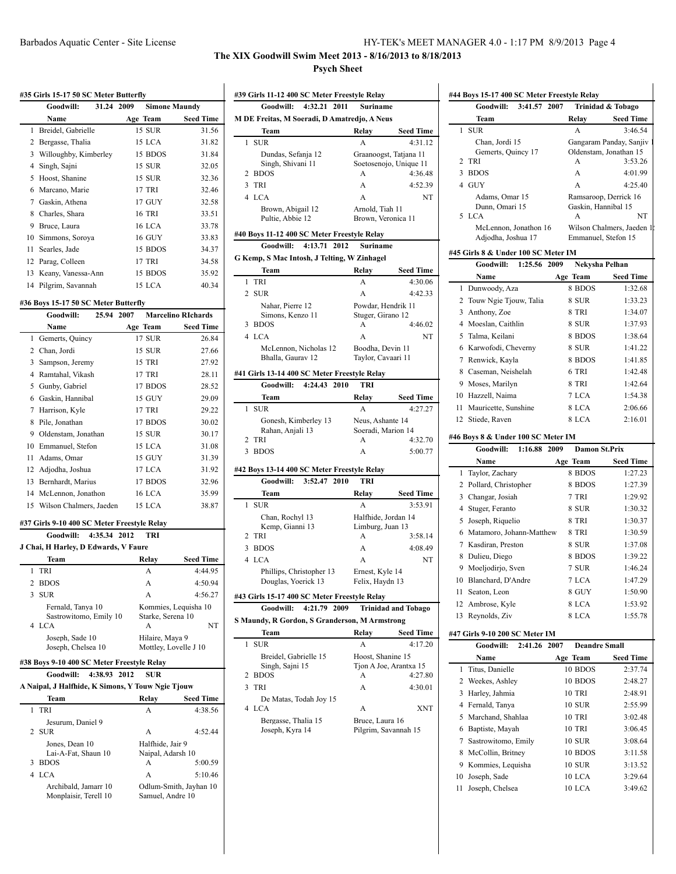# **The XIX Goodwill Swim Meet 2013 - 8/16/2013 to 8/18/2013 Psych Sheet**

|   | #35 Girls 15-17 50 SC Meter Butterfly                                    |                              |                           |
|---|--------------------------------------------------------------------------|------------------------------|---------------------------|
|   | 31.24<br>Goodwill:                                                       | 2009<br><b>Simone Maundy</b> |                           |
|   | Name                                                                     | Age Team                     | Seed Time                 |
|   | 1 Breidel, Gabrielle                                                     | 15 SUR                       | 31.56                     |
|   | 2 Bergasse, Thalia                                                       | 15 LCA                       | 31.82                     |
|   | 3 Willoughby, Kimberley                                                  | 15 BDOS                      | 31.84                     |
|   | 4 Singh, Sajni                                                           | 15 SUR                       | 32.05                     |
|   | 5 Hoost, Shanine                                                         | 15 SUR                       | 32.36                     |
|   | 6 Marcano, Marie                                                         | 17 TRI                       | 32.46                     |
|   | 7 Gaskin, Athena                                                         | 17 GUY                       | 32.58                     |
| 8 | Charles, Shara                                                           | 16 TRI                       | 33.51                     |
|   | 9 Bruce, Laura                                                           | 16 LCA                       | 33.78                     |
|   | 10 Simmons, Soroya                                                       | 16 GUY                       | 33.83                     |
|   | 11 Searles, Jade                                                         | 15 BDOS                      | 34.37                     |
|   | 12 Parag, Colleen                                                        | 17 TRI                       | 34.58                     |
|   | 13 Keany, Vanessa-Ann                                                    | 15 BDOS                      | 35.92                     |
|   | 14 Pilgrim, Savannah                                                     | 15 LCA                       | 40.34                     |
|   |                                                                          |                              |                           |
|   | #36 Boys 15-17 50 SC Meter Butterfly                                     |                              | <b>Marcelino RIchards</b> |
|   | 25.94 2007<br>Goodwill:                                                  |                              |                           |
|   | Name                                                                     | Age Team                     | <b>Seed Time</b>          |
| 1 | Gemerts, Quincy                                                          | 17 SUR                       | 26.84                     |
|   | 2 Chan, Jordi                                                            | 15 SUR                       | 27.66                     |
|   | 3 Sampson, Jeremy                                                        | 15 TRI                       | 27.92                     |
|   | 4 Ramtahal, Vikash                                                       | 17 TRI                       | 28.11                     |
| 5 | Gunby, Gabriel                                                           | 17 BDOS                      | 28.52                     |
|   | 6 Gaskin, Hannibal                                                       | 15 GUY                       | 29.09                     |
|   | 7 Harrison, Kyle                                                         | 17 TRI                       | 29.22                     |
| 8 | Pile, Jonathan                                                           | 17 BDOS                      | 30.02                     |
|   | 9 Oldenstam, Jonathan                                                    | 15 SUR                       | 30.17                     |
|   | 10 Emmanuel, Stefon                                                      | 15 LCA                       | 31.08                     |
|   | 11 Adams, Omar                                                           | 15 GUY                       | 31.39                     |
|   | 12 Adjodha, Joshua                                                       | 17 LCA                       | 31.92                     |
|   | 13 Bernhardt, Marius                                                     | 17 BDOS                      | 32.96                     |
|   | 14 McLennon, Jonathon                                                    | <b>16 LCA</b>                | 35.99                     |
|   | 15 Wilson Chalmers, Jaeden                                               | 15 LCA                       | 38.87                     |
|   |                                                                          |                              |                           |
|   | #37 Girls 9-10 400 SC Meter Freestyle Relay<br>4:35.34 2012<br>Goodwill: | TRI                          |                           |
|   |                                                                          |                              |                           |
|   | J Chai, H Harley, D Edwards, V Faure                                     |                              |                           |
|   | Team                                                                     | <b>Relay</b>                 | <b>Seed Time</b>          |
| 1 | TRI                                                                      | A                            | 4:44.95                   |
| 2 | <b>BDOS</b>                                                              | A                            | 4:50.94                   |
| 3 | SUR                                                                      | А                            | 4:56.27                   |
|   | Fernald, Tanya 10                                                        | Kommies, Lequisha 10         |                           |
| 4 | Sastrowitomo, Emily 10<br><b>LCA</b>                                     | Starke, Serena 10<br>Α       | NΤ                        |
|   | Joseph, Sade 10                                                          | Hilaire, Maya 9              |                           |
|   | Joseph, Chelsea 10                                                       | Mottley, Lovelle J 10        |                           |
|   | #38 Boys 9-10 400 SC Meter Freestyle Relay                               |                              |                           |
|   | Goodwill: 4:38.93 2012                                                   | SUR                          |                           |
|   |                                                                          |                              |                           |
|   | A Naipal, J Halfhide, K Simons, Y Touw Ngie Tjouw                        |                              |                           |
|   | Team                                                                     | Relay                        | <b>Seed Time</b>          |
| 1 | TRI                                                                      | A                            | 4:38.56                   |
| 2 | Jesurum, Daniel 9<br>SUR                                                 | А                            | 4:52.44                   |
|   | Jones, Dean 10                                                           | Halfhide, Jair 9             |                           |
|   | Lai-A-Fat, Shaun 10                                                      | Naipal, Adarsh 10            |                           |

Lai-A-Fat, Shaun 10 Naipal, Adarsh 10

4 LCA **A** 5:10.46 Archibald, Jamarr 10 Odlum-Smith, Jayhan 10<br>Monplaisir, Terell 10 Samuel, Andre 10

3 BDOS

Monplaisir, Terell 10

| #39 Girls 11-12 400 SC Meter Freestyle Relay |                                                                        |                                        |                            |
|----------------------------------------------|------------------------------------------------------------------------|----------------------------------------|----------------------------|
|                                              | 4:32.21 2011<br>Goodwill:                                              | <b>Suriname</b>                        |                            |
|                                              | M DE Freitas, M Soeradi, D Amatredjo, A Neus                           |                                        |                            |
|                                              | Team                                                                   | Relay                                  | <b>Seed Time</b>           |
| 1                                            | <b>SUR</b>                                                             | A                                      | 4:31.12                    |
|                                              | Dundas, Sefanja 12                                                     |                                        | Graanoogst, Tatjana 11     |
|                                              | Singh, Shivani 11                                                      |                                        | Soetosenojo, Unique 11     |
|                                              | 2 BDOS<br>TRI                                                          | A<br>A                                 | 4:36.48                    |
| 3                                            |                                                                        |                                        | 4:52.39                    |
|                                              | 4 LCA                                                                  | A                                      | NT                         |
|                                              | Brown, Abigail 12<br>Pultie, Abbie 12                                  | Arnold, Tiah 11<br>Brown, Veronica 11  |                            |
|                                              |                                                                        |                                        |                            |
|                                              | #40 Boys 11-12 400 SC Meter Freestyle Relay                            |                                        |                            |
|                                              | Goodwill: 4:13.71 2012                                                 | <b>Suriname</b>                        |                            |
|                                              | G Kemp, S Mac Intosh, J Telting, W Zinhagel                            |                                        |                            |
|                                              | Team                                                                   | Relay                                  | <b>Seed Time</b>           |
| 1                                            | TRI                                                                    | A                                      | 4:30.06                    |
|                                              | 2 SUR                                                                  | A                                      | 4:42.33                    |
|                                              | Nahar, Pierre 12<br>Simons, Kenzo 11                                   | Powdar, Hendrik 11                     |                            |
| 3                                            | <b>BDOS</b>                                                            | Stuger, Girano 12<br>A                 | 4:46.02                    |
|                                              | 4 LCA                                                                  | A                                      | NT                         |
|                                              | McLennon, Nicholas 12                                                  | Boodha, Devin 11                       |                            |
|                                              | Bhalla, Gaurav 12                                                      | Taylor, Cavaari 11                     |                            |
|                                              |                                                                        |                                        |                            |
|                                              | #41 Girls 13-14 400 SC Meter Freestyle Relay<br>Goodwill: 4:24.43 2010 | <b>TRI</b>                             |                            |
|                                              |                                                                        |                                        |                            |
|                                              | Team                                                                   | Relay                                  | <b>Seed Time</b>           |
| 1                                            | <b>SUR</b>                                                             | A                                      | 4:27.27                    |
|                                              | Gonesh, Kimberley 13<br>Rahan, Anjali 13                               | Neus, Ashante 14<br>Soeradi, Marion 14 |                            |
| 2                                            | TRI                                                                    | A                                      | 4:32.70                    |
| 3                                            | <b>BDOS</b>                                                            | A                                      | 5:00.77                    |
|                                              |                                                                        |                                        |                            |
|                                              | #42 Boys 13-14 400 SC Meter Freestyle Relay                            |                                        |                            |
|                                              | 3:52.47 2010<br>Goodwill:                                              | TRI                                    |                            |
|                                              | Team                                                                   | Relay                                  | <b>Seed Time</b>           |
| 1                                            | <b>SUR</b>                                                             | A                                      | 3:53.91                    |
|                                              | Chan, Rochyl 13                                                        | Halfhide, Jordan 14                    |                            |
| 2                                            | Kemp, Gianni 13<br>TRI                                                 | Limburg, Juan 13<br>A                  | 3:58.14                    |
| 3                                            | <b>BDOS</b>                                                            | A                                      |                            |
|                                              | 4 LCA                                                                  |                                        | 4:08.49                    |
|                                              |                                                                        | A                                      | NT                         |
|                                              | Phillips, Christopher 13<br>Douglas, Yoerick 13                        | Ernest, Kyle 14<br>Felix, Haydn 13     |                            |
|                                              |                                                                        |                                        |                            |
|                                              | #43 Girls 15-17 400 SC Meter Freestyle Relay                           |                                        |                            |
|                                              | 4:21.79 2009<br>Goodwill:                                              |                                        | <b>Trinidad and Tobago</b> |
|                                              | S Maundy, R Gordon, S Granderson, M Armstrong                          |                                        |                            |
|                                              | Team                                                                   | Relay                                  | <b>Seed Time</b>           |
| 1                                            | <b>SUR</b>                                                             | А                                      | 4:17.20                    |
|                                              | Breidel, Gabrielle 15<br>Singh, Sajni 15                               | Hoost, Shanine 15                      | Tjon A Joe, Arantxa 15     |
| 2                                            | <b>BDOS</b>                                                            | А                                      | 4:27.80                    |
| 3                                            | TRI                                                                    | A                                      | 4:30.01                    |
|                                              | De Matas, Todah Joy 15                                                 |                                        |                            |
| 4                                            | <b>LCA</b>                                                             | А                                      | XNT                        |
|                                              | Bergasse, Thalia 15                                                    | Bruce, Laura 16                        |                            |
|                                              | Joseph, Kyra 14                                                        |                                        | Pilgrim, Savannah 15       |
|                                              |                                                                        |                                        |                            |
|                                              |                                                                        |                                        |                            |
|                                              |                                                                        |                                        |                            |
|                                              |                                                                        |                                        |                            |
|                                              |                                                                        |                                        |                            |
|                                              |                                                                        |                                        |                            |
|                                              |                                                                        |                                        |                            |

|    | #44 Boys 15-17 400 SC Meter Freestyle Relay |                          |                           |
|----|---------------------------------------------|--------------------------|---------------------------|
|    | 3:41.57<br>2007<br>Goodwill:                |                          | Trinidad & Tobago         |
|    | Team                                        | Relay                    | <b>Seed Time</b>          |
| 1  | <b>SUR</b>                                  | A                        | 3:46.54                   |
|    | Chan, Jordi 15                              |                          | Gangaram Panday, Sanjiv   |
|    | Gemerts, Quincy 17                          |                          | Oldenstam, Jonathan 15    |
| 2  | TRI                                         | A                        | 3:53.26                   |
| 3  | <b>BDOS</b>                                 | A                        | 4:01.99                   |
|    | 4 GUY                                       | A                        | 4:25.40                   |
|    | Adams, Omar 15<br>Dunn. Omari 15            |                          | Ramsaroop, Derrick 16     |
|    | 5 LCA                                       | Gaskin, Hannibal 15<br>A | NT                        |
|    | McLennon, Jonathon 16                       |                          | Wilson Chalmers, Jaeden 1 |
|    | Adjodha, Joshua 17                          | Emmanuel, Stefon 15      |                           |
|    | #45 Girls 8 & Under 100 SC Meter IM         |                          |                           |
|    | Goodwill:<br>1:25.56<br>2009                | Nekysha Pelhan           |                           |
|    | Name                                        | Age Team                 | <b>Seed Time</b>          |
| 1  | Dunwoody, Aza                               | 8 BDOS                   | 1:32.68                   |
| 2  | Touw Ngie Tjouw, Talia                      | 8 SUR                    | 1:33.23                   |
| 3  | Anthony, Zoe                                | 8 TRI                    | 1:34.07                   |
|    | 4 Moeslan, Caithlin                         | 8 SUR                    | 1:37.93                   |
| 5  | Talma, Keilani                              | 8 BDOS                   | 1:38.64                   |
|    | 6 Karwofodi, Cheverny                       | 8 SUR                    | 1:41.22                   |
|    | 7 Renwick, Kayla                            | 8 BDOS                   | 1:41.85                   |
|    | 8 Caseman, Neishelah                        | 6 TRI                    | 1:42.48                   |
|    | 9 Moses, Marilyn                            | 8 TRI                    | 1:42.64                   |
|    | 10 Hazzell, Naima                           | 7 LCA                    | 1:54.38                   |
| 11 | Mauricette, Sunshine                        | 8 LCA                    | 2:06.66                   |
|    | 12 Stiede, Raven                            | 8 LCA                    | 2:16.01                   |
|    | #46 Boys 8 & Under 100 SC Meter IM          |                          |                           |
|    | Goodwill:<br>1:16.88<br>2009                | <b>Damon St.Prix</b>     |                           |
|    | Name                                        | Age Team                 | <b>Seed Time</b>          |
| 1  | Taylor, Zachary                             | 8 BDOS                   | 1:27.23                   |
|    | 2 Pollard, Christopher                      | 8 BDOS                   | 1:27.39                   |
|    | 3 Changar, Josiah                           | 7 TRI                    | 1:29.92                   |
| 4  | Stuger, Feranto                             | 8 SUR                    | 1:30.32                   |
| 5  | Joseph, Riquelio                            | 8 TRI                    | 1:30.37                   |
|    | 6 Matamoro, Johann-Matthew                  | 8 TRI                    | 1:30.59                   |
|    | 7 Kasdiran, Preston                         | 8 SUR                    | 1:37.08                   |
|    | 8 Dulieu, Diego                             | 8 BDOS                   | 1:39.22                   |
|    | 9 Moeljodirjo, Sven                         | 7 SUR                    | 1:46.24                   |
|    | 10 Blanchard, D'Andre                       | 7 LCA                    | 1:47.29                   |
| 11 | Seaton, Leon                                | 8 GUY                    | 1:50.90                   |
|    | 12 Ambrose, Kyle                            | 8 LCA                    | 1:53.92                   |
| 13 | Reynolds, Ziv                               | 8 LCA                    | 1:55.78                   |
|    |                                             |                          |                           |
|    | #47 Girls 9-10 200 SC Meter IM              |                          |                           |
|    | Goodwill:<br>2:41.26<br>2007                | <b>Deandre Small</b>     |                           |
|    | Name                                        | Age Team                 | <b>Seed Time</b>          |
| 1  | Titus, Danielle                             | 10 BDOS                  | 2:37.74                   |
| 2  | Weekes, Ashley                              | 10 BDOS                  | 2:48.27                   |
| 3  | Harley, Jahmia                              | 10 TRI                   | 2:48.91                   |
|    | 4 Fernald, Tanya                            | 10 SUR                   | 2:55.99                   |
|    | 5 Marchand, Shahlaa                         | 10 TRI                   | 3:02.48                   |
|    | 6 Baptiste, Mayah                           | 10 TRI                   | 3:06.45                   |
|    | 7 Sastrowitomo, Emily                       | 10 SUR                   | 3:08.64                   |

 $\mathbf{r}$ 

 McCollin, Britney 10 BDOS 3:11.58 Kommies, Lequisha 10 SUR 3:13.52 Joseph, Sade 10 LCA 3:29.64 Joseph, Chelsea 10 LCA 3:49.62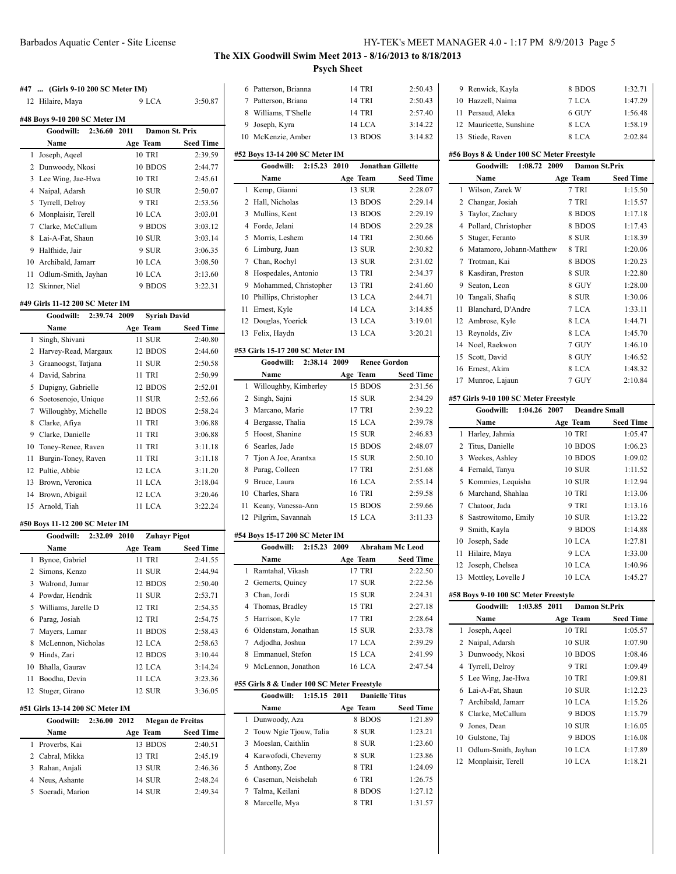### **#47 ... (Girls 9-10 200 SC Meter IM)**

# Hilaire, Maya 9 LCA 3:50.87 **#48 Boys 9-10 200 SC Meter IM Goodwill: 2:36.60 2011 Damon St. Prix Name Age Team Seed Time** Joseph, Aqeel 10 TRI 2:39.59 Dunwoody, Nkosi 10 BDOS 2:44.77 Lee Wing, Jae-Hwa 10 TRI 2:45.61 Naipal, Adarsh 10 SUR 2:50.07 Tyrrell, Delroy 9 TRI 2:53.56 Monplaisir, Terell 10 LCA 3:03.01 Clarke, McCallum 9 BDOS 3:03.12 Lai-A-Fat, Shaun 10 SUR 3:03.14 Halfhide, Jair 9 SUR 3:06.35 Archibald, Jamarr 10 LCA 3:08.50 Odlum-Smith, Jayhan 10 LCA 3:13.60

Skinner, Niel 9 BDOS 3:22.31

# **#49 Girls 11-12 200 SC Meter IM**

|                | Goodwill:<br>2:39.74 | <b>Syriah David</b><br>2009 |                  |
|----------------|----------------------|-----------------------------|------------------|
|                | Name                 | Age Team                    | <b>Seed Time</b> |
| 1              | Singh, Shivani       | 11 SUR                      | 2:40.80          |
| $\mathfrak{D}$ | Harvey-Read, Margaux | 12 BDOS                     | 2:44.60          |
| 3              | Graanoogst, Tatjana  | 11 SUR                      | 2:50.58          |
| 4              | David, Sabrina       | <b>11 TRI</b>               | 2:50.99          |
| 5              | Dupigny, Gabrielle   | 12 BDOS                     | 2:52.01          |
| 6              | Soetosenojo, Unique  | 11 SUR                      | 2:52.66          |
| 7              | Willoughby, Michelle | 12 BDOS                     | 2:58.24          |
| 8              | Clarke, Afiya        | <b>11 TRI</b>               | 3:06.88          |
| 9              | Clarke, Danielle     | 11 TRI                      | 3:06.88          |
| 10             | Toney-Renee, Raven   | 11 TRI                      | 3:11.18          |
| 11             | Burgin-Toney, Raven  | 11 TRI                      | 3:11.18          |
| 12             | Pultie, Abbie        | 12 LCA                      | 3:11.20          |
| 13             | Brown, Veronica      | 11 LCA                      | 3:18.04          |
| 14             | Brown, Abigail       | 12 LCA                      | 3:20.46          |
|                | 15 Arnold, Tiah      | 11 LCA                      | 3:22.24          |

### **#50 Boys 11-12 200 SC Meter IM**

|    | Goodwill:<br>2:32.09 2010 | <b>Zuhavr Pigot</b> |                  |
|----|---------------------------|---------------------|------------------|
|    | Name                      | Age Team            | <b>Seed Time</b> |
|    | 1 Bynoe, Gabriel          | 11 TRI              | 2:41.55          |
|    | 2 Simons, Kenzo           | 11 SUR              | 2:44.94          |
| 3  | Walrond, Jumar            | 12 BDOS             | 2:50.40          |
|    | 4 Powdar, Hendrik         | 11 SUR              | 2:53.71          |
|    | 5 Williams, Jarelle D     | 12 TRI              | 2:54.35          |
| 6  | Parag, Josiah             | 12 TRI              | 2:54.75          |
| 7  | Mayers, Lamar             | 11 BDOS             | 2:58.43          |
| 8  | McLennon, Nicholas        | 12 LCA              | 2:58.63          |
| 9  | Hinds, Zari               | 12 BDOS             | 3:10.44          |
| 10 | Bhalla, Gaurav            | 12 LCA              | 3:14.24          |
| 11 | Boodha, Devin             | 11 LCA              | 3:23.36          |
| 12 | Stuger, Girano            | 12 SUR              | 3:36.05          |

#### **#51 Girls 13-14 200 SC Meter IM**

| Goodwill:         | 2:36.00 2012 |               | Megan de Freitas |
|-------------------|--------------|---------------|------------------|
| <b>Name</b>       |              | Age Team      | <b>Seed Time</b> |
| 1 Proverbs, Kai   |              | 13 BDOS       | 2:40.51          |
| 2 Cabral, Mikka   |              | 13 TRI        | 2:45.19          |
| 3 Rahan, Anjali   |              | 13 SUR        | 2:46.36          |
| 4 Neus, Ashante   |              | <b>14 SUR</b> | 2:48.24          |
| 5 Soeradi, Marion |              | 14 SUR        | 2.49.34          |

# Barbados Aquatic Center - Site License HY-TEK's MEET MANAGER 4.0 - 1:17 PM 8/9/2013 Page 5

### **The XIX Goodwill Swim Meet 2013 - 8/16/2013 to 8/18/2013 Psych Sheet**

|                |                                            | <u>en one</u> e                  |                    |
|----------------|--------------------------------------------|----------------------------------|--------------------|
| 6              | Patterson, Brianna                         | 14 TRI                           | 2:50.43            |
|                | 7 Patterson, Briana                        | 14 TRI                           | 2:50.43            |
|                | 8 Williams, T'Shelle                       | 14 TRI                           | 2:57.40            |
|                | 9 Joseph, Kyra                             | 14 LCA                           | 3:14.22            |
|                | 10 McKenzie, Amber                         | 13 BDOS                          | 3:14.82            |
|                |                                            |                                  |                    |
|                | #52 Boys 13-14 200 SC Meter IM             |                                  |                    |
|                | Goodwill:<br>2:15.23                       | 2010<br><b>Jonathan Gillette</b> |                    |
|                | Name                                       | Age Team                         | <b>Seed Time</b>   |
| 1              | Kemp, Gianni                               | 13 SUR                           | 2:28.07            |
|                | 2 Hall, Nicholas                           | 13 BDOS                          | 2:29.14            |
| 3              | Mullins, Kent                              | 13 BDOS                          | 2:29.19            |
|                | 4 Forde, Jelani                            | 14 BDOS                          | 2:29.28            |
| 5              | Morris, Leshem                             | 14 TRI                           | 2:30.66            |
| 6              | Limburg, Juan                              | 13 SUR<br>13 SUR                 | 2:30.82<br>2:31.02 |
|                | 7 Chan, Rochyl                             |                                  |                    |
| 8<br>9         | Hospedales, Antonio                        | 13 TRI                           | 2:34.37            |
|                | Mohammed, Christopher                      | 13 TRI<br>13 LCA                 | 2:41.60<br>2:44.71 |
|                | 10 Phillips, Christopher                   | 14 LCA                           | 3:14.85            |
| 12             | 11 Ernest, Kyle<br>Douglas, Yoerick        | 13 LCA                           | 3:19.01            |
| 13             | Felix, Haydn                               | 13 LCA                           | 3:20.21            |
|                |                                            |                                  |                    |
|                | #53 Girls 15-17 200 SC Meter IM            |                                  |                    |
|                | Goodwill:<br>2:38.14                       | <b>Renee Gordon</b><br>2009      |                    |
|                | Name                                       | Age Team                         | Seed Time          |
| 1              | Willoughby, Kimberley                      | 15 BDOS                          | 2:31.56            |
| 2              | Singh, Sajni                               | 15 SUR                           | 2:34.29            |
| 3              | Marcano, Marie                             | 17 TRI                           | 2:39.22            |
| 4              | Bergasse, Thalia                           | 15 LCA                           | 2:39.78            |
| 5              | Hoost, Shanine                             | 15 SUR                           | 2:46.83            |
| 6              | Searles, Jade                              | 15 BDOS                          | 2:48.07            |
| 7              | Tjon A Joe, Arantxa                        | 15 SUR                           | 2:50.10            |
| 8              | Parag, Colleen                             | 17 TRI                           | 2:51.68            |
| 9              | Bruce, Laura                               | 16 LCA                           | 2:55.14            |
|                | 10 Charles, Shara                          | <b>16 TRI</b>                    | 2:59.58            |
| 11             | Keany, Vanessa-Ann                         | 15 BDOS<br>15 LCA                | 2:59.66<br>3:11.33 |
| 12             | Pilgrim, Savannah                          |                                  |                    |
|                | #54 Boys 15-17 200 SC Meter IM             |                                  |                    |
|                | Goodwill:<br>2:15.23                       | <b>Abraham Mc Leod</b><br>2009   |                    |
|                | Name                                       | Age Team                         | <b>Seed Time</b>   |
| 1              | Ramtahal, Vikash                           | 17 TRI                           | 2:22.50            |
| $\overline{2}$ | Gemerts, Quincy                            | 17 SUR                           | 2:22.56            |
|                | 3 Chan, Jordi                              | 15 SUR                           | 2:24.31            |
|                | 4 Thomas, Bradley                          | 15 TRI                           | 2:27.18            |
| 5              | Harrison, Kyle                             | 17 TRI                           | 2:28.64            |
|                | 6 Oldenstam, Jonathan                      | 15 SUR                           | 2:33.78            |
|                | 7 Adjodha, Joshua                          | 17 LCA                           | 2:39.29            |
|                | 8 Emmanuel, Stefon                         | 15 LCA                           | 2:41.99            |
|                | 9 McLennon, Jonathon                       | 16 LCA                           | 2:47.54            |
|                | #55 Girls 8 & Under 100 SC Meter Freestyle |                                  |                    |
|                | Goodwill:<br>1:15.15 2011                  | <b>Danielle Titus</b>            |                    |
|                | Name                                       | Age Team                         | Seed Time          |
| 1              | Dunwoody, Aza                              | 8 BDOS                           | 1:21.89            |
| 2              | Touw Ngie Tjouw, Talia                     | 8 SUR                            | 1:23.21            |
| 3              | Moeslan, Caithlin                          | 8 SUR                            | 1:23.60            |
|                | 4 Karwofodi, Cheverny                      | 8 SUR                            | 1:23.86            |
|                | 5 Anthony, Zoe                             | 8 TRI                            | 1:24.09            |
|                | 6 Caseman, Neishelah                       | 6 TRI                            | 1:26.75            |
|                | 7 Talma, Keilani                           | 8 BDOS                           | 1:27.12            |
| 8              | Marcelle, Mya                              | 8 TRI                            | 1:31.57            |
|                |                                            |                                  |                    |
|                |                                            |                                  |                    |

| 9 Renwick, Kayla        | 8 BDOS | 1:32.71 |
|-------------------------|--------|---------|
| 10 Hazzell, Naima       | 7 LCA  | 1:47.29 |
| 11 Persaud, Aleka       | 6 GUY  | 1:56.48 |
| 12 Mauricette, Sunshine | 8 LCA  | 1:58.19 |
| 13 Stiede, Raven        | 8 LCA  | 2:02.84 |

### **#56 Boys 8 & Under 100 SC Meter Freestyle**

|    | Goodwill:<br>1:08.72                  | <b>Damon St.Prix</b><br>2009 |                  |  |  |
|----|---------------------------------------|------------------------------|------------------|--|--|
|    | Name                                  | Age Team                     | <b>Seed Time</b> |  |  |
| 1  | Wilson, Zarek W                       | 7 TRI                        | 1:15.50          |  |  |
| 2  | Changar, Josiah                       | 7 TRI                        | 1:15.57          |  |  |
| 3  | Taylor, Zachary                       | 8 BDOS                       | 1:17.18          |  |  |
| 4  | Pollard, Christopher                  | 8 BDOS                       | 1:17.43          |  |  |
| 5  | Stuger, Feranto                       | 8 SUR                        | 1:18.39          |  |  |
| 6  | Matamoro, Johann-Matthew              | 8 TRI                        | 1:20.06          |  |  |
| 7  | Trotman, Kai                          | 8 BDOS                       | 1:20.23          |  |  |
| 8  | Kasdiran, Preston                     | 8 SUR                        | 1:22.80          |  |  |
| 9  | Seaton, Leon                          | 8 GUY                        | 1:28.00          |  |  |
| 10 | Tangali, Shafiq                       | 8 SUR                        | 1:30.06          |  |  |
| 11 | Blanchard, D'Andre                    | 7 LCA                        | 1:33.11          |  |  |
| 12 | Ambrose, Kyle                         | 8 LCA                        | 1:44.71          |  |  |
| 13 | Reynolds, Ziv                         | 8 LCA                        | 1:45.70          |  |  |
| 14 | Noel, Raekwon                         | 7 GUY                        | 1:46.10          |  |  |
| 15 | Scott, David                          | 8 GUY                        | 1:46.52          |  |  |
| 16 | Ernest, Akim                          | 8 LCA                        | 1:48.32          |  |  |
| 17 | Munroe, Lajaun                        | 7 GUY                        | 2:10.84          |  |  |
|    | #57 Girls 9-10 100 SC Meter Freestyle |                              |                  |  |  |
|    | Goodwill:<br>1:04.26 2007             | <b>Deandre Small</b>         |                  |  |  |
|    | Name                                  | Age Team                     | <b>Seed Time</b> |  |  |
| 1  | Harley, Jahmia                        | 10 TRI                       | 1:05.47          |  |  |

|    | Goodwill:<br>1:04.26 2007 | Deandre Small |                  |
|----|---------------------------|---------------|------------------|
|    | Name                      | Age Team      | <b>Seed Time</b> |
| 1  | Harley, Jahmia            | 10 TRI        | 1:05.47          |
| 2  | Titus, Danielle           | 10 BDOS       | 1:06.23          |
|    | 3 Weekes, Ashley          | 10 BDOS       | 1:09.02          |
|    | 4 Fernald, Tanya          | <b>10 SUR</b> | 1:11.52          |
|    | 5 Kommies, Lequisha       | <b>10 SUR</b> | 1:12.94          |
|    | 6 Marchand, Shahlaa       | 10 TRI        | 1:13.06          |
|    | 7 Chatoor, Jada           | 9 TRI         | 1:13.16          |
|    | 8 Sastrowitomo, Emily     | <b>10 SUR</b> | 1:13.22          |
| 9. | Smith, Kayla              | 9 BDOS        | 1:14.88          |
|    | 10 Joseph, Sade           | 10 LCA        | 1:27.81          |
| 11 | Hilaire, Maya             | 9 LCA         | 1:33.00          |
|    | 12 Joseph, Chelsea        | 10 LCA        | 1:40.96          |
| 13 | Mottley, Lovelle J        | 10 LCA        | 1:45.27          |

### **#58 Boys 9-10 100 SC Meter Freestyle**

|    | Goodwill:<br>1:03.85 2011 | Damon St.Prix |                  |
|----|---------------------------|---------------|------------------|
|    | Name                      | Age Team      | <b>Seed Time</b> |
|    | 1 Joseph, Aqeel           | 10 TRI        | 1:05.57          |
| 2  | Naipal, Adarsh            | <b>10 SUR</b> | 1:07.90          |
| 3  | Dunwoody, Nkosi           | 10 BDOS       | 1:08.46          |
|    | 4 Tyrrell, Delroy         | 9 TRI         | 1:09.49          |
| 5. | Lee Wing, Jae-Hwa         | <b>10 TRI</b> | 1:09.81          |
|    | 6 Lai-A-Fat, Shaun        | 10 SUR        | 1:12.23          |
|    | 7 Archibald, Jamarr       | 10 LCA        | 1:15.26          |
| 8  | Clarke, McCallum          | 9 BDOS        | 1:15.79          |
| 9  | Jones, Dean               | <b>10 SUR</b> | 1:16.05          |
| 10 | Gulstone, Taj             | 9 BDOS        | 1:16.08          |
| 11 | Odlum-Smith, Jayhan       | 10 LCA        | 1:17.89          |
| 12 | Monplaisir, Terell        | 10 LCA        | 1:18.21          |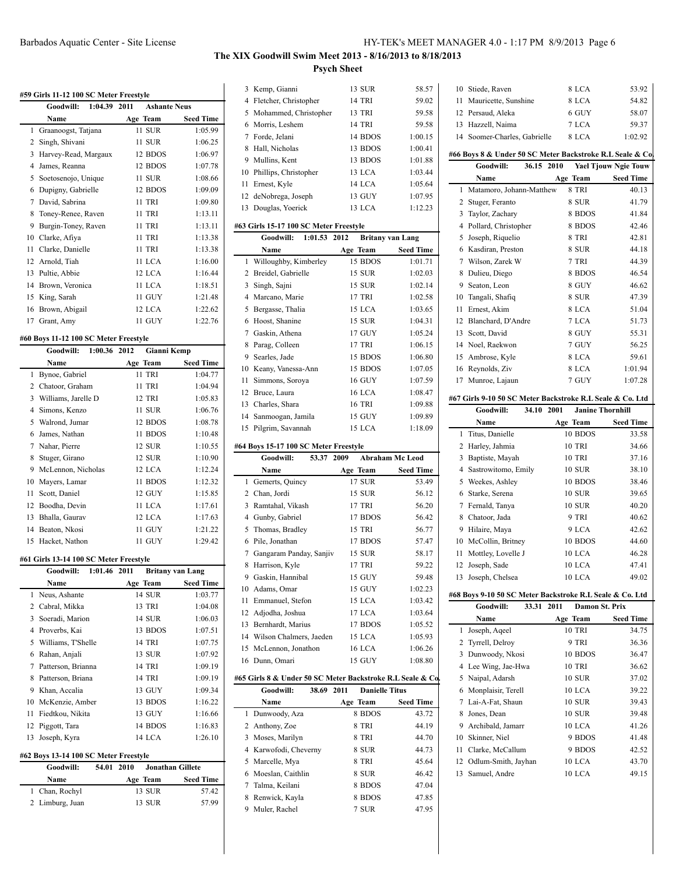# **#59 Girls 11-12 100 SC Meter Freestyle**

| 59 GIFTS 11-12 TW SC MEter Freeslyle |                           |                     |                  |
|--------------------------------------|---------------------------|---------------------|------------------|
|                                      | Goodwill:<br>1:04.39 2011 | <b>Ashante Neus</b> |                  |
|                                      | Name                      | Age Team            | <b>Seed Time</b> |
| 1                                    | Graanoogst, Tatjana       | 11 SUR              | 1:05.99          |
| 2                                    | Singh, Shivani            | 11 SUR              | 1:06.25          |
| 3                                    | Harvey-Read, Margaux      | 12 BDOS             | 1:06.97          |
| 4                                    | James, Reanna             | 12 BDOS             | 1:07.78          |
| 5                                    | Soetosenojo, Unique       | 11 SUR              | 1:08.66          |
| 6                                    | Dupigny, Gabrielle        | 12 BDOS             | 1:09.09          |
| 7                                    | David, Sabrina            | 11 TRI              | 1:09.80          |
| 8                                    | Toney-Renee, Raven        | 11 TRI              | 1:13.11          |
| 9                                    | Burgin-Toney, Raven       | 11 TRI              | 1:13.11          |
| 10                                   | Clarke, Afiya             | 11 TRI              | 1:13.38          |
| 11                                   | Clarke, Danielle          | 11 TRI              | 1:13.38          |
| 12                                   | Arnold, Tiah              | 11 LCA              | 1:16.00          |
| 13                                   | Pultie, Abbie             | 12 LCA              | 1:16.44          |
| 14                                   | Brown, Veronica           | 11 LCA              | 1:18.51          |
| 15                                   | King, Sarah               | 11 GUY              | 1:21.48          |
| 16                                   | Brown, Abigail            | 12 LCA              | 1:22.62          |
| 17                                   | Grant, Amy                | 11 GUY              | 1:22.76          |

### **#60 Boys 11-12 100 SC Meter Freestyle**

|    | Goodwill:<br>1:00.36 2012 | Gianni Kemp |                  |
|----|---------------------------|-------------|------------------|
|    | Name                      | Age Team    | <b>Seed Time</b> |
| 1  | Bynoe, Gabriel            | 11 TRI      | 1:04.77          |
| 2  | Chatoor, Graham           | 11 TRI      | 1:04.94          |
| 3  | Williams, Jarelle D       | 12 TRI      | 1:05.83          |
| 4  | Simons, Kenzo             | 11 SUR      | 1:06.76          |
| 5  | Walrond, Jumar            | 12 BDOS     | 1:08.78          |
| 6  | James, Nathan             | 11 BDOS     | 1:10.48          |
| 7  | Nahar, Pierre             | 12 SUR      | 1:10.55          |
| 8  | Stuger, Girano            | 12 SUR      | 1:10.90          |
| 9  | McLennon, Nicholas        | 12 LCA      | 1:12.24          |
| 10 | Mayers, Lamar             | 11 BDOS     | 1:12.32          |
| 11 | Scott, Daniel             | 12 GUY      | 1:15.85          |
| 12 | Boodha, Devin             | 11 LCA      | 1:17.61          |
| 13 | Bhalla, Gaurav            | 12 LCA      | 1:17.63          |
| 14 | Beaton, Nkosi             | 11 GUY      | 1:21.22          |
| 15 | Hacket, Nathon            | 11 GUY      | 1:29.42          |

### **#61 Girls 13-14 100 SC Meter Freestyle**

|    | 1:01.46 2011<br><b>Goodwill:</b> | <b>Britany van Lang</b> |                  |
|----|----------------------------------|-------------------------|------------------|
|    | Name                             | Age Team                | <b>Seed Time</b> |
|    | 1 Neus, Ashante                  | 14 SUR                  | 1:03.77          |
|    | 2 Cabral, Mikka                  | 13 TRI                  | 1:04.08          |
| 3  | Soeradi, Marion                  | 14 SUR                  | 1:06.03          |
| 4  | Proverbs, Kai                    | 13 BDOS                 | 1:07.51          |
| 5. | Williams, T'Shelle               | <b>14 TRI</b>           | 1:07.75          |
| 6  | Rahan, Anjali                    | 13 SUR                  | 1:07.92          |
| 7  | Patterson, Brianna               | <b>14 TRI</b>           | 1:09.19          |
| 8  | Patterson, Briana                | 14 TRI                  | 1:09.19          |
| 9  | Khan, Accalia                    | 13 GUY                  | 1:09.34          |
| 10 | McKenzie, Amber                  | 13 BDOS                 | 1:16.22          |
| 11 | Fiedtkou, Nikita                 | 13 GUY                  | 1:16.66          |
| 12 | Piggott, Tara                    | 14 BDOS                 | 1:16.83          |
| 13 | Joseph, Kyra                     | 14 LCA                  | 1:26.10          |

### **#62 Boys 13-14 100 SC Meter Freestyle**

| Goodwill:       | 54.01 2010 | Jonathan Gillete |                  |
|-----------------|------------|------------------|------------------|
| Name            |            | Age Team         | <b>Seed Time</b> |
| 1 Chan, Rochyl  |            | 13 SUR           | 57.42            |
| 2 Limburg, Juan |            | 13 SUR           | 57.99            |

# **The XIX Goodwill Swim Meet 2013 - 8/16/2013 to 8/18/2013 Psych Sheet**

|    | 3 Kemp, Gianni                                            | 13 SUR                | 58.57                   |   |
|----|-----------------------------------------------------------|-----------------------|-------------------------|---|
|    | 4 Fletcher, Christopher                                   | 14 TRI                | 59.02                   |   |
|    | 5 Mohammed, Christopher                                   | 13 TRI                | 59.58                   |   |
|    | 6 Morris, Leshem                                          | 14 TRI                | 59.58                   |   |
|    | 7 Forde, Jelani                                           | 14 BDOS               | 1:00.15                 |   |
|    | 8 Hall, Nicholas                                          | 13 BDOS               | 1:00.41                 |   |
|    | 9 Mullins, Kent                                           | 13 BDOS               | 1:01.88                 | # |
|    | 10 Phillips, Christopher                                  | 13 LCA                | 1:03.44                 |   |
|    | 11 Ernest, Kyle                                           | 14 LCA                | 1:05.64                 |   |
|    | 12 deNobrega, Joseph                                      | 13 GUY                | 1:07.95                 |   |
|    | 13 Douglas, Yoerick                                       | 13 LCA                | 1:12.23                 |   |
|    | #63 Girls 15-17 100 SC Meter Freestyle                    |                       |                         |   |
|    | <b>Goodwill:</b><br>1:01.53                               | 2012                  | <b>Britany van Lang</b> |   |
|    | Name                                                      | Age Team              | <b>Seed Time</b>        |   |
| 1  | Willoughby, Kimberley                                     | 15 BDOS               | 1:01.71                 |   |
|    | 2 Breidel, Gabrielle                                      | 15 SUR                | 1:02.03                 |   |
|    | 3 Singh, Sajni                                            | 15 SUR                | 1:02.14                 |   |
|    | 4 Marcano, Marie                                          | 17 TRI                | 1:02.58                 |   |
|    | 5 Bergasse, Thalia                                        | 15 LCA                | 1:03.65                 |   |
|    | 6 Hoost, Shanine                                          | 15 SUR                | 1:04.31                 |   |
|    | 7 Gaskin, Athena                                          | 17 GUY                | 1:05.24                 |   |
|    | 8 Parag, Colleen                                          | 17 TRI                | 1:06.15                 |   |
|    | 9 Searles, Jade                                           | 15 BDOS               | 1:06.80                 |   |
|    | 10 Keany, Vanessa-Ann                                     | 15 BDOS               | 1:07.05                 |   |
| 11 | Simmons, Soroya                                           | 16 GUY                | 1:07.59                 |   |
|    | 12 Bruce, Laura                                           | <b>16 LCA</b>         | 1:08.47                 | # |
|    | 13 Charles, Shara                                         | 16 TRI                | 1:09.88                 |   |
|    | 14 Sanmoogan, Jamila                                      | 15 GUY                | 1:09.89                 |   |
|    | 15 Pilgrim, Savannah                                      | 15 LCA                | 1:18.09                 |   |
|    | #64 Boys 15-17 100 SC Meter Freestyle                     |                       |                         |   |
|    | 53.37<br>Goodwill:                                        | 2009                  | <b>Abraham Mc Leod</b>  |   |
|    | Name                                                      | Age Team              | <b>Seed Time</b>        |   |
|    | 1 Gemerts, Quincy                                         | 17 SUR                | 53.49                   |   |
|    | 2 Chan, Jordi                                             | 15 SUR                | 56.12                   |   |
|    | 3 Ramtahal, Vikash                                        | <b>17 TRI</b>         | 56.20                   |   |
|    | 4 Gunby, Gabriel                                          | 17 BDOS               | 56.42                   |   |
|    | 5 Thomas, Bradley                                         | 15 TRI                | 56.77                   |   |
|    | 6 Pile, Jonathan                                          | 17 BDOS               | 57.47                   |   |
|    | 7 Gangaram Panday, Sanjiv                                 | 15 SUR                | 58.17                   |   |
| 8  | Harrison, Kyle                                            | 17 TRI                | 59.22                   |   |
| 9  | Gaskin, Hannibal                                          | 15 GUY                | 59.48                   |   |
|    | 10 Adams, Omar                                            | 15 GUY                | 1:02.23                 | # |
| 11 | Emmanuel, Stefon                                          | 15 LCA                | 1:03.42                 |   |
|    | 12 Adjodha, Joshua                                        | 17 LCA                | 1:03.64                 |   |
|    | 13 Bernhardt, Marius                                      | 17 BDOS               | 1:05.52                 |   |
|    | 14 Wilson Chalmers, Jaeden                                | 15 LCA                | 1:05.93                 |   |
|    | 15 McLennon, Jonathon                                     | 16 LCA                | 1:06.26                 |   |
|    | 16 Dunn, Omari                                            | 15 GUY                | 1:08.80                 |   |
|    | #65 Girls 8 & Under 50 SC Meter Backstroke R.L Seale & Co |                       |                         |   |
|    | Goodwill:<br>38.69 2011                                   | <b>Danielle Titus</b> |                         |   |
|    | Name                                                      | Age Team              | <b>Seed Time</b>        |   |
|    | 1 Dunwoody, Aza                                           | 8 BDOS                | 43.72                   |   |

|   | 3 GHTS 0 & UHUCL 39 SC METCL DACKSHOKE IVE SCAIC & COL |                               |                  |    |
|---|--------------------------------------------------------|-------------------------------|------------------|----|
|   | Goodwill:<br>38.69                                     | <b>Danielle Titus</b><br>2011 |                  | 6  |
|   | Name                                                   | Age Team                      | <b>Seed Time</b> | 7  |
|   | 1 Dunwoody, Aza                                        | 8 BDOS                        | 43.72            | 8  |
|   | 2 Anthony, Zoe                                         | 8 TRI                         | 44.19            | 9  |
|   | 3 Moses, Marilyn                                       | 8 TRI                         | 44.70            | 10 |
|   | 4 Karwofodi, Cheverny                                  | 8 SUR                         | 44.73            | 11 |
|   | 5 Marcelle, Mya                                        | 8 TRI                         | 45.64            | 12 |
|   | 6 Moeslan, Caithlin                                    | 8 SUR                         | 46.42            | 13 |
|   | Talma, Keilani                                         | 8 BDOS                        | 47.04            |    |
| 8 | Renwick, Kayla                                         | 8 BDOS                        | 47.85            |    |
| 9 | Muler, Rachel                                          | 7 SUR                         | 47.95            |    |

| 10 Stiede, Raven             | 8 LCA | 53.92   |
|------------------------------|-------|---------|
| 11 Mauricette, Sunshine      | 8 LCA | 54.82   |
| 12 Persaud, Aleka            | 6 GUY | 58.07   |
| 13 Hazzell, Naima            | 7 LCA | 59.37   |
| 14 Soomer-Charles, Gabrielle | 8 LCA | 1:02.92 |

### #66 Boys 8 & Under 50 SC Meter Backstroke R.L Seale & Co.

|    | Goodwill:                                                 | 36.15 2010 |                     | <b>Yael Tjouw Ngie Touw</b> |
|----|-----------------------------------------------------------|------------|---------------------|-----------------------------|
|    | Name                                                      |            | Age Team            | <b>Seed Time</b>            |
| 1  | Matamoro, Johann-Matthew                                  |            | 8 TRI               | 40.13                       |
| 2  | Stuger, Feranto                                           |            | 8 SUR               | 41.79                       |
| 3  | Taylor, Zachary                                           |            | 8 BDOS              | 41.84                       |
| 4  | Pollard, Christopher                                      |            | 8 BDOS              | 42.46                       |
| 5  | Joseph, Riquelio                                          |            | 8 TRI               | 42.81                       |
| 6  | Kasdiran, Preston                                         |            | 8 SUR               | 44.18                       |
| 7  | Wilson, Zarek W                                           |            | 7 TRI               | 44.39                       |
| 8  | Dulieu, Diego                                             |            | 8 BDOS              | 46.54                       |
| 9  | Seaton, Leon                                              |            | 8 GUY               | 46.62                       |
| 10 | Tangali, Shafiq                                           |            | 8 SUR               | 47.39                       |
| 11 | Ernest, Akim                                              |            | 8 LCA               | 51.04                       |
| 12 | Blanchard, D'Andre                                        |            | 7 LCA               | 51.73                       |
| 13 | Scott, David                                              |            | 8 GUY               | 55.31                       |
| 14 | Noel, Raekwon                                             |            | 7 GUY               | 56.25                       |
| 15 | Ambrose, Kyle                                             |            | 8 LCA               | 59.61                       |
| 16 | Reynolds, Ziv                                             |            | 8 LCA               | 1:01.94                     |
| 17 | Munroe, Lajaun                                            |            | 7 GUY               | 1:07.28                     |
|    | #67 Girls 9-10 50 SC Meter Backstroke R.L Seale & Co. Ltd |            |                     |                             |
|    | Goodwill:                                                 | 34.10 2001 |                     | <b>Janine Thornhill</b>     |
|    | Name                                                      |            |                     | <b>Seed Time</b>            |
| 1  | Titus, Danielle                                           |            | Age Team<br>10 BDOS | 33.58                       |
| 2  | Harley, Jahmia                                            |            | <b>10 TRI</b>       | 34.66                       |
| 3  |                                                           |            | <b>10 TRI</b>       | 37.16                       |
| 4  | Baptiste, Mayah                                           |            |                     |                             |
|    | Sastrowitomo, Emily                                       |            | <b>10 SUR</b>       | 38.10                       |
| 5  | Weekes, Ashley                                            |            | 10 BDOS             | 38.46                       |
| 6  | Starke, Serena                                            |            | <b>10 SUR</b>       | 39.65                       |
| 7  | Fernald, Tanya                                            |            | <b>10 SUR</b>       | 40.20                       |
| 8  | Chatoor, Jada                                             |            | 9 TRI               | 40.62                       |
|    | 0. Hilaira Maya                                           |            | 0 I C A             | 12.62                       |

| www.m. |                                                          | $J$ T.LV $\sim$ UVI<br>vannut ruornmu |                  |
|--------|----------------------------------------------------------|---------------------------------------|------------------|
|        | Name                                                     | Age Team                              | <b>Seed Time</b> |
| 1      | Titus, Danielle                                          | 10 BDOS                               | 33.58            |
| 2      | Harley, Jahmia                                           | <b>10 TRI</b>                         | 34.66            |
| 3      | Baptiste, Mayah                                          | <b>10 TRI</b>                         | 37.16            |
| 4      | Sastrowitomo, Emily                                      | <b>10 SUR</b>                         | 38.10            |
| 5      | Weekes, Ashley                                           | 10 BDOS                               | 38.46            |
| 6      | Starke, Serena                                           | <b>10 SUR</b>                         | 39.65            |
| 7      | Fernald, Tanya                                           | <b>10 SUR</b>                         | 40.20            |
| 8      | Chatoor, Jada                                            | 9 TRI                                 | 40.62            |
| 9      | Hilaire, Maya                                            | 9 LCA                                 | 42.62            |
| 10     | McCollin, Britney                                        | 10 BDOS                               | 44.60            |
| 11     | Mottley, Lovelle J                                       | 10 LCA                                | 46.28            |
| 12     | Joseph, Sade                                             | 10 LCA                                | 47.41            |
| 13     | Joseph, Chelsea                                          | 10 LCA                                | 49.02            |
|        | #68 Boys 9-10 50 SC Meter Backstroke R.L Seale & Co. Ltd |                                       |                  |
|        | Goodwill:<br>33.31                                       | 2011<br><b>Damon St. Prix</b>         |                  |
|        | Name                                                     | Age Team                              | <b>Seed Time</b> |
| 1      | Joseph, Aqeel                                            | <b>10 TRI</b>                         | 34.75            |
| 2      | Tyrrell, Delroy                                          | 9 TRI                                 | 36.36            |
| 3      | Dunwoody Nkosi                                           | 10 BDOS                               | 36.47            |

|   | 2 Ivrrell, Delroy      | 9 T.R.I       | 36.36 |
|---|------------------------|---------------|-------|
|   | 3 Dunwoody, Nkosi      | 10 BDOS       | 36.47 |
|   | 4 Lee Wing, Jae-Hwa    | <b>10 TRI</b> | 36.62 |
|   | 5 Naipal, Adarsh       | <b>10 SUR</b> | 37.02 |
|   | 6 Monplaisir, Terell   | 10 LCA        | 39.22 |
|   | 7 Lai-A-Fat, Shaun     | <b>10 SUR</b> | 39.43 |
| 8 | Jones, Dean            | <b>10 SUR</b> | 39.48 |
|   | 9 Archibald, Jamarr    | 10 LCA        | 41.26 |
|   | 10 Skinner, Niel       | 9 BDOS        | 41.48 |
|   | 11 Clarke, McCallum    | 9 BDOS        | 42.52 |
|   | 12 Odlum-Smith, Jayhan | 10 LCA        | 43.70 |
|   | 13 Samuel, Andre       | 10 LCA        | 49.15 |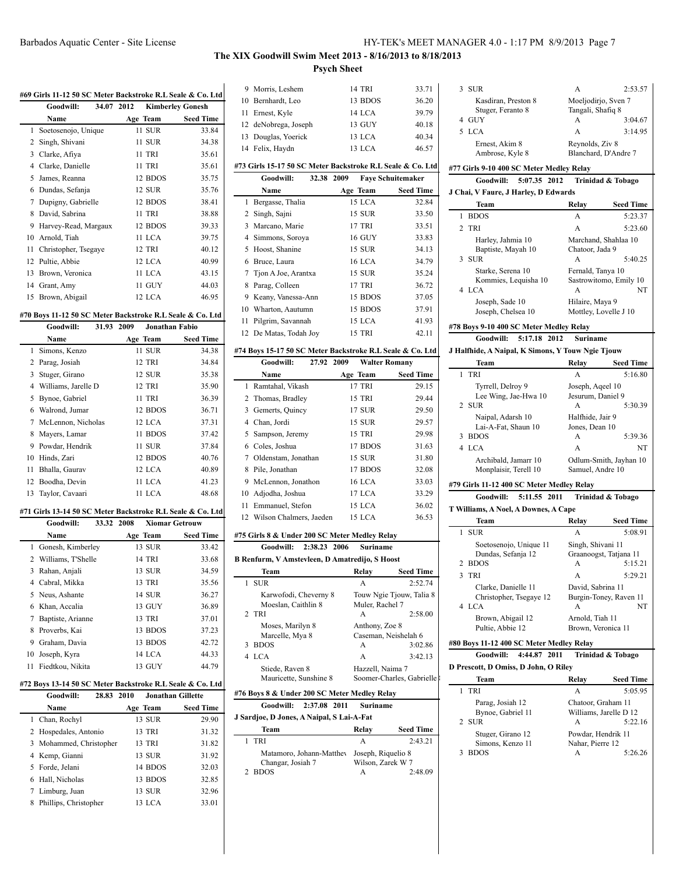# **The XIX Goodwill Swim Meet 2013 - 8/16/2013 to 8/18/2013 Psych Sheet**

|                       |            |          | #69 Girls 11-12 50 SC Meter Backstroke R.L Seale & Co. Ltd |
|-----------------------|------------|----------|------------------------------------------------------------|
| Goodwill:             | 34.07 2012 |          | <b>Kimberley Gonesh</b>                                    |
| Name                  |            | Age Team | <b>Seed Time</b>                                           |
| 1 Soetosenojo, Unique |            | 11 SUR   | 33.84                                                      |
|                       |            |          |                                                            |

 $\overline{1}$ 

|    | 2 Singh, Shivani        | 11 SUR        | 34.38 |
|----|-------------------------|---------------|-------|
| 3  | Clarke, Afiya           | 11 TRI        | 35.61 |
|    | 4 Clarke, Danielle      | 11 TRI        | 35.61 |
| 5. | James, Reanna           | 12 BDOS       | 35.75 |
|    | 6 Dundas, Sefanja       | <b>12 SUR</b> | 35.76 |
|    | 7 Dupigny, Gabrielle    | 12 BDOS       | 38.41 |
|    | 8 David, Sabrina        | 11 TRI        | 38.88 |
| 9  | Harvey-Read, Margaux    | 12 BDOS       | 39.33 |
|    | 10 Arnold, Tiah         | 11 LCA        | 39.75 |
|    | 11 Christopher, Tsegaye | <b>12 TRI</b> | 40.12 |
|    | 12 Pultie, Abbie        | 12 LCA        | 40.99 |
|    | 13 Brown, Veronica      | 11 LCA        | 43.15 |
|    | 14 Grant, Amy           | 11 GUY        | 44.03 |
|    | 15 Brown, Abigail       | 12 LCA        | 46.95 |

### **#70 Boys 11-12 50 SC Meter Backstroke R.L Seale & Co. Ltd**

|    | Goodwill:           | 31.93 | 2009 | <b>Jonathan Fabio</b> |                  |
|----|---------------------|-------|------|-----------------------|------------------|
|    | Name                |       |      | Age Team              | <b>Seed Time</b> |
| 1  | Simons, Kenzo       |       |      | 11 SUR                | 34.38            |
|    | Parag, Josiah       |       |      | 12 TRI                | 34.84            |
| 3  | Stuger, Girano      |       |      | 12 SUR                | 35.38            |
| 4  | Williams, Jarelle D |       |      | 12 TRI                | 35.90            |
| 5  | Bynoe, Gabriel      |       |      | <b>11 TRI</b>         | 36.39            |
| 6  | Walrond, Jumar      |       |      | 12 BDOS               | 36.71            |
| 7  | McLennon, Nicholas  |       |      | 12 LCA                | 37.31            |
| 8  | Mayers, Lamar       |       |      | 11 BDOS               | 37.42            |
| 9  | Powdar, Hendrik     |       |      | 11 SUR                | 37.84            |
| 10 | Hinds, Zari         |       |      | 12 BDOS               | 40.76            |
| 11 | Bhalla, Gaurav      |       |      | 12 LCA                | 40.89            |
| 12 | Boodha, Devin       |       |      | 11 LCA                | 41.23            |
| 13 | Taylor, Cavaari     |       |      | 11 LCA                | 48.68            |

### **#71 Girls 13-14 50 SC Meter Backstroke R.L Seale & Co. Ltd**

|    | Goodwill:            | 33.32 2008 | <b>Xiomar Getrouw</b> |                  |
|----|----------------------|------------|-----------------------|------------------|
|    | Name                 |            | Age Team              | <b>Seed Time</b> |
|    | 1 Gonesh, Kimberley  |            | 13 SUR                | 33.42            |
|    | 2 Williams, T'Shelle |            | <b>14 TRI</b>         | 33.68            |
| 3  | Rahan, Anjali        |            | 13 SUR                | 34.59            |
| 4  | Cabral, Mikka        |            | <b>13 TRI</b>         | 35.56            |
|    | 5 Neus, Ashante      |            | 14 SUR                | 36.27            |
| 6. | Khan, Accalia        |            | 13 GUY                | 36.89            |
| 7  | Baptiste, Arianne    |            | <b>13 TRI</b>         | 37.01            |
| 8  | Proverbs, Kai        |            | 13 BDOS               | 37.23            |
| 9  | Graham, Davia        |            | 13 BDOS               | 42.72            |
| 10 | Joseph, Kyra         |            | 14 LCA                | 44.33            |
| 11 | Fiedtkou, Nikita     |            | 13 GUY                | 44.79            |

### **#72 Boys 13-14 50 SC Meter Backstroke R.L Seale & Co. Ltd**

|  | Goodwill:               | 28.83 2010 | <b>Jonathan Gillette</b> |                  |
|--|-------------------------|------------|--------------------------|------------------|
|  | <b>Name</b>             |            | Age Team                 | <b>Seed Time</b> |
|  | 1 Chan, Rochyl          |            | 13 SUR                   | 29.90            |
|  | 2 Hospedales, Antonio   |            | 13 TRI                   | 31.32            |
|  | 3 Mohammed, Christopher |            | 13 TRI                   | 31.82            |
|  | 4 Kemp, Gianni          |            | 13 SUR                   | 31.92            |
|  | 5 Forde, Jelani         |            | 14 BDOS                  | 32.03            |
|  | 6 Hall, Nicholas        |            | 13 BDOS                  | 32.85            |
|  | 7 Limburg, Juan         |            | 13 SUR                   | 32.96            |
|  | 8 Phillips, Christopher |            | 13 LCA                   | 33.01            |

|    | 9 Morris, Leshem                                             | 14 TRI                                       | 33.71                     |  |  |  |
|----|--------------------------------------------------------------|----------------------------------------------|---------------------------|--|--|--|
|    | 10 Bernhardt, Leo                                            | 13 BDOS                                      | 36.20                     |  |  |  |
|    | 11 Ernest, Kyle                                              | 14 LCA                                       | 39.79                     |  |  |  |
|    | 12 deNobrega, Joseph                                         | 13 GUY                                       | 40.18                     |  |  |  |
|    | 13 Douglas, Yoerick                                          | 13 LCA                                       | 40.34                     |  |  |  |
|    | 14 Felix, Haydn                                              | 13 LCA                                       | 46.57                     |  |  |  |
|    |                                                              |                                              |                           |  |  |  |
|    | #73 Girls 15-17 50 SC Meter Backstroke R.L Seale & Co. Ltd   |                                              |                           |  |  |  |
|    | Goodwill:<br>32.38 2009                                      | <b>Faye Schuitemaker</b>                     |                           |  |  |  |
|    | Name                                                         | Age Team                                     | <b>Seed Time</b>          |  |  |  |
| 1  | Bergasse, Thalia                                             | 15 LCA                                       | 32.84                     |  |  |  |
|    | 2 Singh, Sajni                                               | 15 SUR                                       | 33.50                     |  |  |  |
|    | 3 Marcano, Marie                                             | <b>17 TRI</b>                                | 33.51                     |  |  |  |
|    | 4 Simmons, Soroya                                            | <b>16 GUY</b>                                | 33.83                     |  |  |  |
| 5  | Hoost, Shanine                                               | 15 SUR                                       | 34.13                     |  |  |  |
|    | 6 Bruce, Laura                                               | <b>16 LCA</b>                                | 34.79                     |  |  |  |
|    | 7 Tjon A Joe, Arantxa                                        | 15 SUR                                       | 35.24                     |  |  |  |
|    | 8 Parag, Colleen                                             | 17 TRI                                       | 36.72                     |  |  |  |
|    | 9 Keany, Vanessa-Ann                                         | 15 BDOS                                      | 37.05                     |  |  |  |
|    | 10 Wharton, Aautumn                                          | 15 BDOS                                      | 37.91                     |  |  |  |
| 11 | Pilgrim, Savannah                                            | 15 LCA                                       | 41.93                     |  |  |  |
|    | 12 De Matas, Todah Joy                                       | 15 TRI                                       | 42.11                     |  |  |  |
|    | #74 Boys 15-17 50 SC Meter Backstroke R.L Seale & Co. Ltd    |                                              |                           |  |  |  |
|    | Goodwill: 27.92 2009                                         | <b>Walter Romany</b>                         |                           |  |  |  |
|    | Name                                                         | Age Team                                     | <b>Seed Time</b>          |  |  |  |
| 1  | Ramtahal, Vikash                                             | 17 TRI                                       | 29.15                     |  |  |  |
|    | 2 Thomas, Bradley                                            | 15 TRI                                       | 29.44                     |  |  |  |
|    | 3 Gemerts, Quincy                                            | 17 SUR                                       | 29.50                     |  |  |  |
|    | 4 Chan, Jordi                                                | 15 SUR                                       | 29.57                     |  |  |  |
|    | 5 Sampson, Jeremy                                            | 15 TRI                                       | 29.98                     |  |  |  |
|    | 6 Coles, Joshua                                              | 17 BDOS                                      | 31.63                     |  |  |  |
|    | 7 Oldenstam, Jonathan                                        | 15 SUR                                       | 31.80                     |  |  |  |
|    | 8 Pile, Jonathan                                             | 17 BDOS                                      | 32.08                     |  |  |  |
|    | 9 McLennon, Jonathon                                         | 16 LCA                                       | 33.03                     |  |  |  |
|    | 10 Adjodha, Joshua                                           | 17 LCA                                       | 33.29                     |  |  |  |
|    | 11 Emmanuel, Stefon                                          | 15 LCA                                       | 36.02                     |  |  |  |
|    | 12 Wilson Chalmers, Jaeden                                   | 15 LCA                                       | 36.53                     |  |  |  |
|    |                                                              |                                              |                           |  |  |  |
|    | #75 Girls 8 & Under 200 SC Meter Medley Relay                |                                              |                           |  |  |  |
|    | Goodwill:<br>2:38.23 2006                                    | <b>Suriname</b>                              |                           |  |  |  |
|    | <b>B Renfurm, V Amstevleen, D Amatredijo, S Hoost</b>        |                                              |                           |  |  |  |
|    | Team                                                         | Relay                                        | Seed Time                 |  |  |  |
| 1  | <b>SUR</b>                                                   | А                                            | 2:52.74                   |  |  |  |
|    | Karwofodi, Cheverny 8                                        |                                              | Touw Ngie Tjouw, Talia 8  |  |  |  |
| 2  | Moeslan, Caithlin 8<br><b>TRI</b>                            | Muler, Rachel 7<br>А                         | 2:58.00                   |  |  |  |
|    | Moses, Marilyn 8                                             | Anthony, Zoe 8                               |                           |  |  |  |
|    | Marcelle, Mya 8                                              | Caseman, Neishelah 6                         |                           |  |  |  |
| 3  | <b>BDOS</b>                                                  | А                                            | 3:02.86                   |  |  |  |
| 4  | <b>LCA</b>                                                   | A                                            | 3:42.13                   |  |  |  |
|    | Stiede, Raven 8                                              | Hazzell, Naima 7                             |                           |  |  |  |
|    | Mauricette, Sunshine 8                                       |                                              | Soomer-Charles, Gabrielle |  |  |  |
|    | #76 Boys 8 & Under 200 SC Meter Medley Relay                 |                                              |                           |  |  |  |
|    | Goodwill:<br>2:37.08 2011                                    | Suriname                                     |                           |  |  |  |
|    | J Sardjoe, D Jones, A Naipal, S Lai-A-Fat                    |                                              |                           |  |  |  |
|    | Team                                                         | Relay                                        | Seed Time                 |  |  |  |
| 1  | <b>TRI</b>                                                   | А                                            | 2:43.21                   |  |  |  |
| 2  | Matamoro, Johann-Matthey<br>Changar, Josiah 7<br><b>BDOS</b> | Joseph, Riquelio 8<br>Wilson, Zarek W 7<br>А | 2:48.09                   |  |  |  |
|    |                                                              |                                              |                           |  |  |  |

| 3  | SUR                                               | А                                  | 2:53.57                |
|----|---------------------------------------------------|------------------------------------|------------------------|
|    | Kasdiran, Preston 8                               | Moeljodirjo, Sven 7                |                        |
|    | Stuger, Feranto 8                                 | Tangali, Shafiq 8                  |                        |
| 4  | GUY                                               | А                                  | 3:04.67                |
| 5. | <b>LCA</b>                                        | A                                  | 3:14.95                |
|    |                                                   |                                    |                        |
|    | Ernest, Akim 8                                    | Reynolds, Ziv 8                    |                        |
|    | Ambrose, Kyle 8                                   |                                    | Blanchard, D'Andre 7   |
|    | #77 Girls 9-10 400 SC Meter Medley Relay          |                                    |                        |
|    | 5:07.35 2012<br>Goodwill:                         |                                    |                        |
|    |                                                   |                                    | Trinidad & Tobago      |
|    | J Chai, V Faure, J Harley, D Edwards              |                                    |                        |
|    | Team                                              | Relay                              | Seed Time              |
| 1  | <b>BDOS</b>                                       | A                                  | 5:23.37                |
| 2  | <b>TRI</b>                                        | A                                  | 5:23.60                |
|    |                                                   |                                    |                        |
|    | Harley, Jahmia 10                                 |                                    | Marchand, Shahlaa 10   |
|    | Baptiste, Mayah 10                                | Chatoor, Jada 9                    |                        |
| 3  | <b>SUR</b>                                        | А                                  | 5:40.25                |
|    | Starke, Serena 10                                 | Fernald, Tanya 10                  |                        |
|    | Kommies, Lequisha 10                              |                                    | Sastrowitomo, Emily 10 |
| 4  | <b>LCA</b>                                        | А                                  | NT                     |
|    | Joseph, Sade 10                                   | Hilaire, Maya 9                    |                        |
|    | Joseph, Chelsea 10                                | Mottley, Lovelle J 10              |                        |
|    |                                                   |                                    |                        |
|    | #78 Boys 9-10 400 SC Meter Medley Relay           |                                    |                        |
|    | <b>Goodwill:</b><br>5:17.18 2012                  | <b>Suriname</b>                    |                        |
|    | J Halfhide, A Naipal, K Simons, Y Touw Ngie Tjouw |                                    |                        |
|    | Team                                              | Relay                              | <b>Seed Time</b>       |
| 1  | <b>TRI</b>                                        |                                    | 5:16.80                |
|    | Tyrrell, Delroy 9                                 | Joseph, Aqeel 10                   |                        |
|    | Lee Wing, Jae-Hwa 10                              | Jesurum, Daniel 9                  |                        |
| 2  | SUR                                               | А                                  | 5:30.39                |
|    |                                                   |                                    |                        |
|    | Naipal, Adarsh 10<br>Lai-A-Fat, Shaun 10          | Halfhide, Jair 9<br>Jones, Dean 10 |                        |
| 3  | <b>BDOS</b>                                       | А                                  | 5:39.36                |
|    |                                                   |                                    |                        |
|    |                                                   |                                    |                        |
|    | 4 LCA                                             | A                                  | NT                     |
|    | Archibald, Jamarr 10                              |                                    | Odlum-Smith, Jayhan 10 |
|    | Monplaisir, Terell 10                             | Samuel, Andre 10                   |                        |
|    | #79 Girls 11-12 400 SC Meter Medley Relay         |                                    |                        |
|    | 5:11.55 2011<br>Goodwill:                         |                                    |                        |
|    |                                                   |                                    | Trinidad & Tobago      |
|    | T Williams, A Noel, A Downes, A Cape              |                                    |                        |
|    | Team                                              | Relay                              | <b>Seed Time</b>       |
| 1  | <b>SUR</b>                                        |                                    | 5:08.91                |
|    | Soetosenojo, Unique 11                            | Singh, Shivani 11                  |                        |
|    | Dundas, Sefanja 12                                |                                    | Graanoogst, Tatjana 11 |
|    | 2 BDOS                                            | А                                  | 5:15.21                |
| 3  | <b>TRI</b>                                        | A                                  | 5:29.21                |
|    |                                                   |                                    |                        |
|    | Clarke, Danielle 11                               | David, Sabrina 11                  |                        |
|    | Christopher, Tsegaye 12                           |                                    | Burgin-Toney, Raven 11 |
|    | 4 LCA                                             | А                                  | NT                     |
|    | Brown, Abigail 12                                 | Arnold, Tiah 11                    |                        |
|    | Pultie, Abbie 12                                  | Brown, Veronica 11                 |                        |
|    | #80 Boys 11-12 400 SC Meter Medley Relay          |                                    |                        |
|    | Goodwill: 4:44.87 2011                            |                                    |                        |
|    |                                                   |                                    | Trinidad & Tobago      |
|    | D Prescott, D Omiss, D John, O Riley              |                                    |                        |
|    | Team                                              | Relay                              | Seed Time              |
| 1  | <b>TRI</b>                                        | А                                  | 5:05.95                |
|    | Parag, Josiah 12                                  | Chatoor, Graham 11                 |                        |
|    | Bynoe, Gabriel 11                                 |                                    | Williams, Jarelle D 12 |
| 2  | SUR                                               | А                                  | 5:22.16                |
|    | Stuger, Girano 12                                 | Powdar, Hendrik 11                 |                        |
|    | Simons, Kenzo 11                                  | Nahar, Pierre 12                   |                        |
| 3  | <b>BDOS</b>                                       | А                                  | 5:26.26                |
|    |                                                   |                                    |                        |
|    |                                                   |                                    |                        |
|    |                                                   |                                    |                        |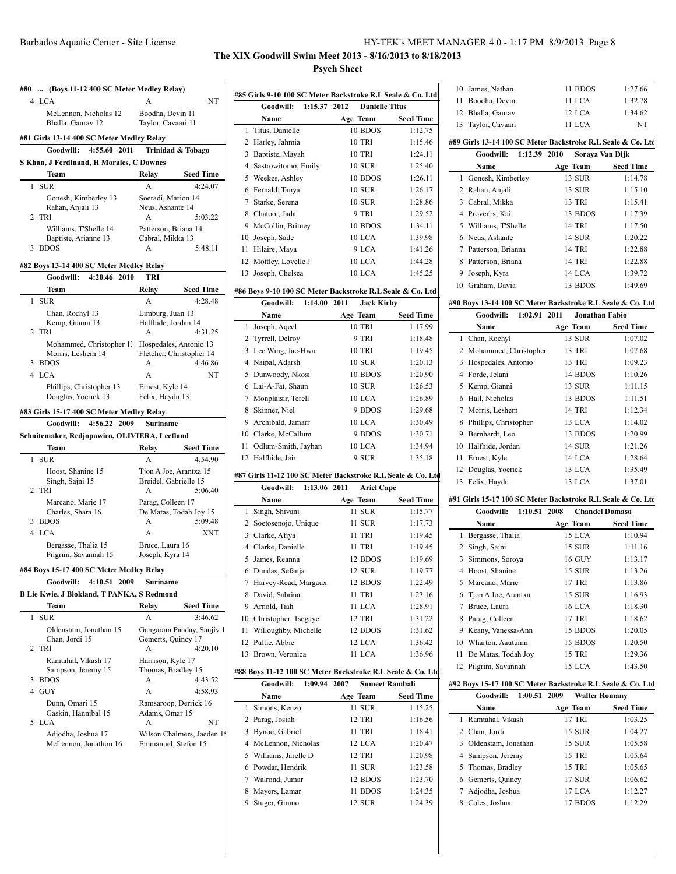# **The XIX Goodwill Swim Meet 2013 - 8/16/2013 to 8/18/2013 Psych Sheet**

|                                 | #80  (Boys 11-12 400 SC Meter Medley Relay)        |                                     |  |  |
|---------------------------------|----------------------------------------------------|-------------------------------------|--|--|
|                                 | 4 LCA                                              | NT<br>А                             |  |  |
|                                 | McLennon, Nicholas 12                              | Boodha, Devin 11                    |  |  |
|                                 | Bhalla, Gaurav 12                                  | Taylor, Cavaari 11                  |  |  |
|                                 | #81 Girls 13-14 400 SC Meter Medley Relay          |                                     |  |  |
|                                 | 4:55.60 2011<br>Goodwill:                          | Trinidad & Tobago                   |  |  |
|                                 | S Khan, J Ferdinand, H Morales, C Downes           |                                     |  |  |
|                                 | Team                                               | Seed Time<br>Relay                  |  |  |
| $\mathbf{1}$                    | <b>SUR</b>                                         | A<br>4:24.07                        |  |  |
|                                 | Gonesh, Kimberley 13                               | Soeradi, Marion 14                  |  |  |
|                                 | Rahan, Anjali 13                                   | Neus, Ashante 14                    |  |  |
|                                 | 2 TRI                                              | 5:03.22<br>A                        |  |  |
|                                 | Williams, T'Shelle 14                              | Patterson, Briana 14                |  |  |
| 3                               | Baptiste, Arianne 13<br><b>BDOS</b>                | Cabral, Mikka 13<br>5:48.11<br>A    |  |  |
|                                 |                                                    |                                     |  |  |
|                                 | #82 Boys 13-14 400 SC Meter Medley Relay           |                                     |  |  |
|                                 | Goodwill: 4:20.46 2010                             | TRI                                 |  |  |
|                                 | Team                                               | Relay<br><b>Seed Time</b>           |  |  |
| 1                               | <b>SUR</b>                                         | 4:28.48                             |  |  |
|                                 | Chan, Rochyl 13                                    | Limburg, Juan 13                    |  |  |
|                                 | Kemp, Gianni 13<br>2 TRI                           | Halfhide, Jordan 14<br>4:31.25<br>А |  |  |
|                                 | Mohammed, Christopher 1.                           | Hospedales, Antonio 13              |  |  |
|                                 | Morris, Leshem 14                                  | Fletcher, Christopher 14            |  |  |
| 3                               | <b>BDOS</b>                                        | 4:46.86<br>А                        |  |  |
|                                 | 4 LCA                                              | А<br>NT                             |  |  |
|                                 | Phillips, Christopher 13                           | Ernest, Kyle 14                     |  |  |
|                                 | Douglas, Yoerick 13                                | Felix, Haydn 13                     |  |  |
|                                 | #83 Girls 15-17 400 SC Meter Medley Relay          |                                     |  |  |
| Goodwill: 4:56.22 2009 Suriname |                                                    |                                     |  |  |
|                                 |                                                    |                                     |  |  |
|                                 | Schuitemaker, Redjopawiro, OLIVIERA, Leefland      |                                     |  |  |
|                                 | <b>Team</b>                                        | Seed Time<br>Relay                  |  |  |
| 1                               | <b>SUR</b>                                         | 4:54.90                             |  |  |
|                                 | Hoost, Shanine 15                                  | Tjon A Joe, Arantxa 15              |  |  |
|                                 | Singh, Sajni 15                                    | Breidel, Gabrielle 15               |  |  |
|                                 | 2 TRI                                              | A<br>5:06.40                        |  |  |
|                                 | Marcano, Marie 17                                  | Parag, Colleen 17                   |  |  |
|                                 | Charles, Shara 16                                  | De Matas, Todah Joy 15              |  |  |
|                                 | 3 BDOS<br>4 LCA                                    | A<br>5:09.48<br>A<br>XNT            |  |  |
|                                 |                                                    |                                     |  |  |
|                                 | Bergasse, Thalia 15<br>Pilgrim, Savannah 15        | Bruce, Laura 16<br>Joseph, Kyra 14  |  |  |
|                                 |                                                    |                                     |  |  |
|                                 | #84 Boys 15-17 400 SC Meter Medley Relay           |                                     |  |  |
|                                 | 2009<br>4:10.51<br>Goodwill:                       | Suriname                            |  |  |
|                                 | B Lie Kwie, J Blokland, T PANKA, S Redmond<br>Team | Seed Time<br>Relay                  |  |  |
| 1                               | <b>SUR</b>                                         | 3:46.62<br>А                        |  |  |
|                                 | Oldenstam, Jonathan 15                             | Gangaram Panday, Sanjiv             |  |  |
|                                 | Chan, Jordi 15                                     | Gemerts, Quincy 17                  |  |  |
| 2                               | TRI                                                | А<br>4:20.10                        |  |  |
|                                 | Ramtahal, Vikash 17                                | Harrison, Kyle 17                   |  |  |
|                                 | Sampson, Jeremy 15                                 | Thomas, Bradley 15                  |  |  |
| 3                               | <b>BDOS</b>                                        | 4:43.52<br>A                        |  |  |
| 4                               | GUY                                                | А<br>4:58.93                        |  |  |
|                                 | Dunn, Omari 15                                     | Ramsaroop, Derrick 16               |  |  |
| 5                               | Gaskin, Hannibal 15<br><b>LCA</b>                  | Adams, Omar 15<br>NT<br>А           |  |  |
|                                 | Adjodha, Joshua 17                                 | Wilson Chalmers, Jaeden 1           |  |  |
|                                 | McLennon, Jonathon 16                              | Emmanuel, Stefon 15                 |  |  |

| #85 Girls 9-10 100 SC Meter Backstroke R.L Seale & Co. Ltd |                                                             |                               |                  |
|------------------------------------------------------------|-------------------------------------------------------------|-------------------------------|------------------|
|                                                            | 1:15.37 2012<br>Goodwill:                                   | <b>Danielle Titus</b>         |                  |
|                                                            | Name                                                        | Age Team                      | <b>Seed Time</b> |
| 1                                                          | Titus, Danielle                                             | 10 BDOS                       | 1:12.75          |
| 2                                                          | Harley, Jahmia                                              | 10 TRI                        | 1:15.46          |
| 3                                                          | Baptiste, Mayah                                             | <b>10 TRI</b>                 | 1:24.11          |
| 4                                                          | Sastrowitomo, Emily                                         | 10 SUR                        | 1:25.40          |
| 5                                                          | Weekes, Ashley                                              | 10 BDOS                       | 1:26.11          |
| 6                                                          | Fernald, Tanya                                              | <b>10 SUR</b>                 | 1:26.17          |
|                                                            | 7 Starke, Serena                                            | <b>10 SUR</b>                 | 1:28.86          |
|                                                            | 8 Chatoor, Jada                                             | 9 TRI                         | 1:29.52          |
|                                                            | 9 McCollin, Britney                                         | 10 BDOS                       | 1:34.11          |
|                                                            | 10 Joseph, Sade                                             | 10 LCA                        | 1:39.98          |
| 11                                                         | Hilaire, Maya                                               | 9 LCA                         | 1:41.26          |
| 12                                                         | Mottley, Lovelle J                                          | 10 LCA                        | 1:44.28          |
| 13                                                         | Joseph, Chelsea                                             | 10 LCA                        | 1:45.25          |
|                                                            | #86 Boys 9-10 100 SC Meter Backstroke R.L Seale & Co. Ltd   |                               |                  |
|                                                            | Goodwill: 1:14.00 2011                                      | <b>Jack Kirby</b>             |                  |
|                                                            | Name                                                        | Age Team                      | <b>Seed Time</b> |
| 1                                                          | Joseph, Aqeel                                               | <b>10 TRI</b>                 | 1:17.99          |
| 2                                                          | Tyrrell, Delroy                                             | 9 TRI                         | 1:18.48          |
| 3                                                          | Lee Wing, Jae-Hwa                                           | <b>10 TRI</b>                 | 1:19.45          |
|                                                            | 4 Naipal, Adarsh                                            | <b>10 SUR</b>                 | 1:20.13          |
| 5                                                          | Dunwoody, Nkosi                                             | 10 BDOS                       | 1:20.90          |
|                                                            | 6 Lai-A-Fat, Shaun                                          | <b>10 SUR</b>                 | 1:26.53          |
|                                                            | 7 Monplaisir, Terell                                        | 10 LCA                        | 1:26.89          |
| 8                                                          | Skinner, Niel                                               | 9 BDOS                        | 1:29.68          |
|                                                            | 9 Archibald, Jamarr                                         | 10 LCA                        | 1:30.49          |
|                                                            | 10 Clarke, McCallum                                         | 9 BDOS                        | 1:30.71          |
| 11                                                         | Odlum-Smith, Jayhan                                         | 10 LCA                        | 1:34.94          |
|                                                            | 12 Halfhide, Jair                                           | 9 SUR                         | 1:35.18          |
|                                                            | #87 Girls 11-12 100 SC Meter Backstroke R.L Seale & Co. Ltd |                               |                  |
|                                                            | Goodwill: 1:13.06 2011                                      | <b>Ariel Cape</b>             |                  |
|                                                            | Name                                                        | Age Team                      | <b>Seed Time</b> |
| 1                                                          | Singh, Shivani                                              | 11 SUR                        | 1:15.77          |
| 2                                                          | Soetosenojo, Unique                                         | 11 SUR                        | 1:17.73          |
|                                                            | 3 Clarke, Afiya                                             | 11 TRI                        | 1:19.45          |
|                                                            | 4 Clarke, Danielle                                          | 11 TRI                        | 1:19.45          |
| 5                                                          | James, Reanna                                               | 12 BDOS                       | 1:19.69          |
| 6                                                          | Dundas, Sefanja                                             | 12 SUR                        | 1:19.77          |
| 7                                                          | Harvey-Read, Margaux                                        | 12 BDOS                       | 1:22.49          |
| 8                                                          | David, Sabrina                                              | <b>11 TRI</b>                 | 1:23.16          |
| 9                                                          | Arnold. Tiah                                                | 11 LCA                        | 1:28.91          |
|                                                            | 10 Christopher, Tsegaye                                     | 12 TRI                        | 1:31.22          |
| 11                                                         | Willoughby, Michelle                                        | 12 BDOS                       | 1:31.62          |
| 12                                                         | Pultie, Abbie                                               | 12 LCA                        | 1:36.42          |
| 13                                                         | Brown, Veronica                                             | 11 LCA                        | 1:36.96          |
|                                                            | #88 Boys 11-12 100 SC Meter Backstroke R.L Seale & Co. Ltd  |                               |                  |
|                                                            | 1:09.94<br>Goodwill:                                        | 2007<br><b>Sumeet Rambali</b> |                  |
|                                                            | Name                                                        | Age Team                      | <b>Seed Time</b> |
| 1                                                          | Simons, Kenzo                                               | 11 SUR                        | 1:15.25          |
| 2                                                          | Parag, Josiah                                               | 12 TRI                        | 1:16.56          |
| 3                                                          | Bynoe, Gabriel                                              | 11 TRI                        | 1:18.41          |
| 4                                                          | McLennon, Nicholas                                          | 12 LCA                        | 1:20.47          |
| 5                                                          | Williams, Jarelle D                                         | 12 TRI                        | 1:20.98          |
| 6                                                          | Powdar, Hendrik                                             | 11 SUR                        | 1:23.58          |
| 7                                                          | Walrond, Jumar                                              | 12 BDOS                       | 1:23.70          |
|                                                            | Mayers, Lamar                                               | 11 BDOS                       | 1:24.35          |
| 8<br>9                                                     | Stuger, Girano                                              | 12 SUR                        | 1:24.39          |

 $\overline{a}$ 

| 10 James, Nathan   | 11 BDOS | 1:27.66 |
|--------------------|---------|---------|
| 11 Boodha, Devin   | 11 LCA  | 1:32.78 |
| 12 Bhalla, Gauray  | 12 LCA  | 1:34.62 |
| 13 Taylor, Cavaari | 11 LCA  | NT      |

### **#89 Girls 13-14 100 SC Meter Backstroke R.L Seale & Co. Ltd**

|    | 1:12.39 2010<br>Goodwill: | Soraya Van Dijk |                  |
|----|---------------------------|-----------------|------------------|
|    | Name                      | Age Team        | <b>Seed Time</b> |
|    | 1 Gonesh, Kimberley       | 13 SUR          | 1:14.78          |
|    | 2 Rahan, Anjali           | 13 SUR          | 1:15.10          |
| 3  | Cabral, Mikka             | <b>13 TRI</b>   | 1:15.41          |
| 4  | Proverbs, Kai             | 13 BDOS         | 1:17.39          |
|    | 5 Williams, T'Shelle      | <b>14 TRI</b>   | 1:17.50          |
|    | 6 Neus, Ashante           | 14 SUR          | 1:20.22          |
|    | Patterson, Brianna        | 14 TRI          | 1:22.88          |
| 8  | Patterson, Briana         | 14 TRI          | 1:22.88          |
| 9  | Joseph, Kyra              | 14 LCA          | 1:39.72          |
| 10 | Graham, Davia             | 13 BDOS         | 1:49.69          |

### **#90 Boys 13-14 100 SC Meter Backstroke R.L Seale & Co. Ltd**

|    | Goodwill:<br>1:02.91 2011 | <b>Jonathan Fabio</b> |                  |
|----|---------------------------|-----------------------|------------------|
|    | Name                      | Age Team              | <b>Seed Time</b> |
|    | 1 Chan, Rochyl            | 13 SUR                | 1:07.02          |
|    | 2 Mohammed, Christopher   | 13 TRI                | 1:07.68          |
| 3  | Hospedales, Antonio       | <b>13 TRI</b>         | 1:09.23          |
| 4  | Forde, Jelani             | 14 BDOS               | 1:10.26          |
|    | 5 Kemp, Gianni            | 13 SUR                | 1:11.15          |
| 6  | Hall, Nicholas            | 13 BDOS               | 1:11.51          |
|    | 7 Morris, Leshem          | <b>14 TRI</b>         | 1:12.34          |
| 8  | Phillips, Christopher     | 13 LCA                | 1:14.02          |
| 9  | Bernhardt, Leo            | 13 BDOS               | 1:20.99          |
| 10 | Halfhide, Jordan          | 14 SUR                | 1:21.26          |
| 11 | Ernest, Kyle              | 14 LCA                | 1:28.64          |
|    | 12 Douglas, Yoerick       | 13 LCA                | 1:35.49          |
| 13 | Felix, Haydn              | 13 LCA                | 1:37.01          |
|    |                           |                       |                  |

# **#91 Girls 15-17 100 SC Meter Backstroke R.L Seale & Co. Ltd**

|    | 1:10.51 2008<br>Goodwill: | <b>Chandel Domaso</b> |                  |
|----|---------------------------|-----------------------|------------------|
|    | Name                      | Age Team              | <b>Seed Time</b> |
|    | 1 Bergasse, Thalia        | 15 LCA                | 1:10.94          |
|    | 2 Singh, Sajni            | <b>15 SUR</b>         | 1:11.16          |
|    | 3 Simmons, Soroya         | <b>16 GUY</b>         | 1:13.17          |
| 4  | Hoost, Shanine            | 15 SUR                | 1:13.26          |
|    | 5 Marcano, Marie          | 17 TRI                | 1:13.86          |
|    | 6 Tion A Joe, Arantxa     | 15 SUR                | 1:16.93          |
| 7  | Bruce, Laura              | 16 LCA                | 1:18.30          |
| 8. | Parag, Colleen            | <b>17 TRI</b>         | 1:18.62          |
| 9  | Keany, Vanessa-Ann        | 15 BDOS               | 1:20.05          |
| 10 | Wharton, Aautumn          | 15 BDOS               | 1:20.50          |
| 11 | De Matas, Todah Joy       | 15 TRI                | 1:29.36          |
| 12 | Pilgrim, Savannah         | 15 LCA                | 1:43.50          |

### **#92 Boys 15-17 100 SC Meter Backstroke R.L Seale & Co. Ltd**

|   | 1:00.51 2009<br>Goodwill: | <b>Walter Romany</b> |                  |
|---|---------------------------|----------------------|------------------|
|   | Name                      | Age Team             | <b>Seed Time</b> |
| 1 | Ramtahal, Vikash          | 17 TRI               | 1:03.25          |
|   | 2 Chan, Jordi             | <b>15 SUR</b>        | 1:04.27          |
|   | 3 Oldenstam, Jonathan     | <b>15 SUR</b>        | 1:05.58          |
|   | 4 Sampson, Jeremy         | 15 TRI               | 1:05.64          |
|   | 5 Thomas, Bradley         | <b>15 TRI</b>        | 1:05.65          |
|   | 6 Gemerts, Quincy         | 17 SUR               | 1:06.62          |
|   | Adjodha, Joshua           | 17 LCA               | 1:12.27          |
| 8 | Coles, Joshua             | 17 BDOS              | 1:12.29          |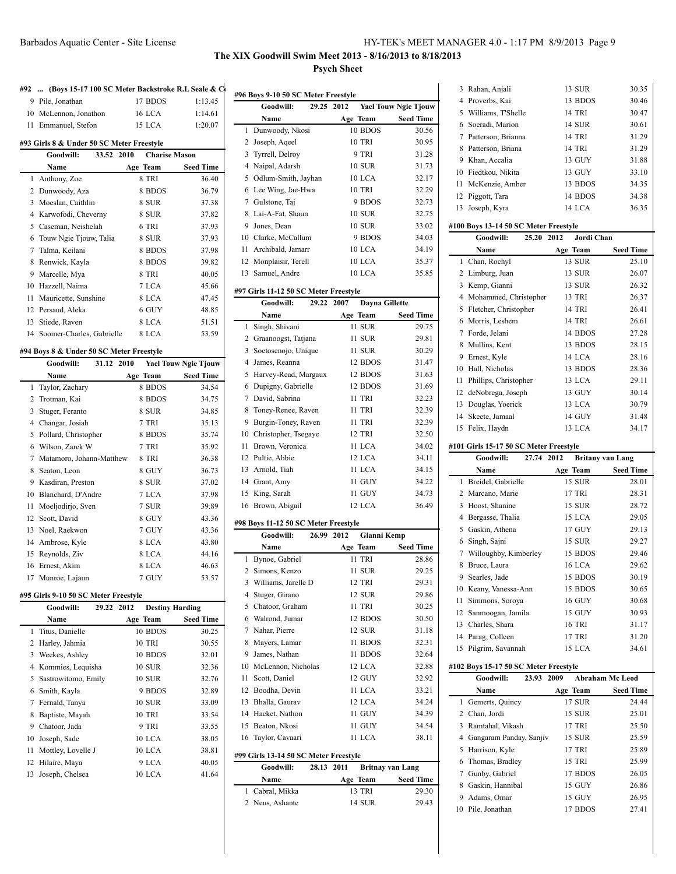# **The XIX Goodwill Swim Meet 2013 - 8/16/2013 to 8/18/2013 Psych Sheet**

| #92                                                                                             | (Boys 15-17 100 SC Meter Backstroke R.L Seale & C |                                |                             |  |  |
|-------------------------------------------------------------------------------------------------|---------------------------------------------------|--------------------------------|-----------------------------|--|--|
|                                                                                                 | 9 Pile, Jonathan                                  | 17 BDOS                        | 1:13.45                     |  |  |
| 10                                                                                              | McLennon, Jonathon                                | 16 LCA                         | 1:14.61                     |  |  |
| 11                                                                                              | Emmanuel, Stefon                                  | 15 LCA                         | 1:20.07                     |  |  |
|                                                                                                 |                                                   |                                |                             |  |  |
| #93 Girls 8 & Under 50 SC Meter Freestyle<br>33.52<br>2010<br><b>Charise Mason</b><br>Goodwill: |                                                   |                                |                             |  |  |
|                                                                                                 | Name                                              | Age Team                       | <b>Seed Time</b>            |  |  |
| 1                                                                                               | Anthony, Zoe                                      | 8 TRI                          | 36.40                       |  |  |
| 2                                                                                               | Dunwoody, Aza                                     | 8 BDOS                         | 36.79                       |  |  |
| 3                                                                                               | Moeslan, Caithlin                                 | 8 SUR                          | 37.38                       |  |  |
|                                                                                                 | 4 Karwofodi, Cheverny                             | 8 SUR                          | 37.82                       |  |  |
|                                                                                                 | 5 Caseman, Neishelah                              | 6 TRI                          | 37.93                       |  |  |
| 6                                                                                               | Touw Ngie Tjouw, Talia                            | 8 SUR                          | 37.93                       |  |  |
| 7                                                                                               | Talma, Keilani                                    | 8 BDOS                         | 37.98                       |  |  |
| 8                                                                                               | Renwick, Kayla                                    | 8 BDOS                         | 39.82                       |  |  |
| 9                                                                                               |                                                   |                                |                             |  |  |
|                                                                                                 | Marcelle, Mya                                     | 8 TRI                          | 40.05                       |  |  |
|                                                                                                 | 10 Hazzell, Naima                                 | 7 LCA                          | 45.66                       |  |  |
| 11                                                                                              | Mauricette, Sunshine                              | 8 LCA                          | 47.45                       |  |  |
|                                                                                                 | 12 Persaud, Aleka                                 | 6 GUY                          | 48.85                       |  |  |
| 13                                                                                              | Stiede, Raven                                     | 8 LCA                          | 51.51                       |  |  |
| 14                                                                                              | Soomer-Charles, Gabrielle                         | 8 LCA                          | 53.59                       |  |  |
|                                                                                                 | #94 Boys 8 & Under 50 SC Meter Freestyle          |                                |                             |  |  |
|                                                                                                 | Goodwill:<br>31.12 2010                           |                                | <b>Yael Touw Ngie Tjouw</b> |  |  |
|                                                                                                 | Name                                              | Age Team                       | <b>Seed Time</b>            |  |  |
| 1                                                                                               | Taylor, Zachary                                   | 8 BDOS                         | 34.54                       |  |  |
|                                                                                                 | 2 Trotman, Kai                                    | 8 BDOS                         | 34.75                       |  |  |
| 3                                                                                               | Stuger, Feranto                                   | 8 SUR                          | 34.85                       |  |  |
|                                                                                                 | 4 Changar, Josiah                                 | 7 TRI                          | 35.13                       |  |  |
| 5                                                                                               | Pollard, Christopher                              | 8 BDOS                         | 35.74                       |  |  |
|                                                                                                 | 6 Wilson, Zarek W                                 |                                |                             |  |  |
|                                                                                                 |                                                   | 7 TRI                          | 35.92                       |  |  |
|                                                                                                 | 7 Matamoro, Johann-Matthew                        | 8 TRI                          | 36.38                       |  |  |
| 8                                                                                               | Seaton, Leon                                      | 8 GUY                          | 36.73                       |  |  |
| 9                                                                                               | Kasdiran, Preston                                 | 8 SUR                          | 37.02                       |  |  |
|                                                                                                 | 10 Blanchard, D'Andre                             | 7 LCA                          | 37.98                       |  |  |
| 11                                                                                              | Moeljodirjo, Sven                                 | 7 SUR                          | 39.89                       |  |  |
|                                                                                                 | 12 Scott, David                                   | 8 GUY                          | 43.36                       |  |  |
| 13                                                                                              | Noel, Raekwon                                     | 7 GUY                          | 43.36                       |  |  |
|                                                                                                 | 14 Ambrose, Kyle                                  | 8 LCA                          | 43.80                       |  |  |
| 15                                                                                              | Reynolds, Ziv                                     | 8 LCA                          | 44.16                       |  |  |
|                                                                                                 | 16 Ernest, Akim                                   | 8 LCA                          | 46.63                       |  |  |
| 17                                                                                              | Munroe, Lajaun                                    | 7 GUY                          | 53.57                       |  |  |
|                                                                                                 |                                                   |                                |                             |  |  |
|                                                                                                 | #95 Girls 9-10 50 SC Meter Freestyle              |                                |                             |  |  |
|                                                                                                 | Goodwill:<br>29.22                                | <b>Destiny Harding</b><br>2012 |                             |  |  |
|                                                                                                 | Name                                              | Age Team                       | <b>Seed Time</b>            |  |  |
| 1                                                                                               | Titus, Danielle                                   | 10 BDOS                        | 30.25                       |  |  |
| 2                                                                                               | Harley, Jahmia                                    | 10 TRI                         | 30.55                       |  |  |
| 3                                                                                               | Weekes, Ashley                                    | 10 BDOS                        | 32.01                       |  |  |
| 4                                                                                               | Kommies, Lequisha                                 | 10 SUR                         | 32.36                       |  |  |
| 5                                                                                               | Sastrowitomo, Emily                               | 10 SUR                         | 32.76                       |  |  |
| 6                                                                                               | Smith, Kayla                                      | 9 BDOS                         | 32.89                       |  |  |
| 7                                                                                               | Fernald, Tanya                                    | 10 SUR                         | 33.09                       |  |  |
| 8                                                                                               | Baptiste, Mayah                                   | 10 TRI                         | 33.54                       |  |  |
| 9                                                                                               | Chatoor, Jada                                     | 9 TRI                          | 33.55                       |  |  |
| 10                                                                                              | Joseph, Sade                                      | 10 LCA                         | 38.05                       |  |  |
| 11                                                                                              | Mottley, Lovelle J                                | 10 LCA                         | 38.81                       |  |  |
| 12<br>13                                                                                        | Hilaire, Maya<br>Joseph, Chelsea                  | 9 LCA<br>10 LCA                | 40.05<br>41.64              |  |  |

| #96 Boys 9-10 50 SC Meter Freestyle |                         |               |                             |  |
|-------------------------------------|-------------------------|---------------|-----------------------------|--|
|                                     | Goodwill:<br>29.25 2012 |               | <b>Yael Touw Ngie Tjouw</b> |  |
|                                     | Name                    | Age Team      | <b>Seed Time</b>            |  |
| 1                                   | Dunwoody, Nkosi         | 10 BDOS       | 30.56                       |  |
| 2                                   | Joseph, Aqeel           | <b>10 TRI</b> | 30.95                       |  |
| 3                                   | Tyrrell, Delroy         | 9 TRI         | 31.28                       |  |
| 4                                   | Naipal, Adarsh          | <b>10 SUR</b> | 31.73                       |  |
| 5                                   | Odlum-Smith, Jayhan     | 10 LCA        | 32.17                       |  |
| 6                                   | Lee Wing, Jae-Hwa       | <b>10 TRI</b> | 32.29                       |  |
| 7                                   | Gulstone, Taj           | 9 BDOS        | 32.73                       |  |
| 8                                   | Lai-A-Fat, Shaun        | <b>10 SUR</b> | 32.75                       |  |
| 9                                   | Jones, Dean             | <b>10 SUR</b> | 33.02                       |  |
|                                     | 10 Clarke, McCallum     | 9 BDOS        | 34.03                       |  |
| 11                                  | Archibald, Jamarr       | 10 LCA        | 34.19                       |  |
|                                     | 12 Monplaisir, Terell   | 10 LCA        | 35.37                       |  |
| 13                                  | Samuel, Andre           | 10 LCA        | 35.85                       |  |
|                                     |                         |               |                             |  |

# **#97 Girls 11-12 50 SC Meter Freestyle**

|              | Goodwill:<br>29.22 2007 | Dayna Gillette |                  |
|--------------|-------------------------|----------------|------------------|
|              | Name                    | Age Team       | <b>Seed Time</b> |
| $\mathbf{1}$ | Singh, Shivani          | 11 SUR         | 29.75            |
| 2            | Graanoogst, Tatjana     | 11 SUR         | 29.81            |
| 3            | Soetosenojo, Unique     | 11 SUR         | 30.29            |
| 4            | James, Reanna           | 12 BDOS        | 31.47            |
|              | 5 Harvey-Read, Margaux  | 12 BDOS        | 31.63            |
| 6            | Dupigny, Gabrielle      | 12 BDOS        | 31.69            |
| 7            | David, Sabrina          | 11 TRI         | 32.23            |
|              | 8 Toney-Renee, Raven    | 11 TRI         | 32.39            |
| 9            | Burgin-Toney, Raven     | 11 TRI         | 32.39            |
|              | 10 Christopher, Tsegaye | 12 TRI         | 32.50            |
| 11           | Brown, Veronica         | 11 LCA         | 34.02            |
|              | 12 Pultie, Abbie        | 12 LCA         | 34.11            |
|              | 13 Arnold, Tiah         | 11 LCA         | 34.15            |
|              | 14 Grant, Amy           | 11 GUY         | 34.22            |
|              | 15 King, Sarah          | 11 GUY         | 34.73            |
|              | 16 Brown, Abigail       | 12 LCA         | 36.49            |

# **#98 Boys 11-12 50 SC Meter Freestyle**

|                | Goodwill:                             | 26.99 | 2012       | Gianni Kemp   |                         |
|----------------|---------------------------------------|-------|------------|---------------|-------------------------|
|                | Name                                  |       |            | Age Team      | <b>Seed Time</b>        |
| 1              | Bynoe, Gabriel                        |       |            | 11 TRI        | 28.86                   |
| $\overline{c}$ | Simons, Kenzo                         |       |            | 11 SUR        | 29.25                   |
| 3              | Williams, Jarelle D                   |       |            | <b>12 TRI</b> | 29.31                   |
| 4              | Stuger, Girano                        |       |            | <b>12 SUR</b> | 29.86                   |
| 5              | Chatoor, Graham                       |       |            | <b>11 TRI</b> | 30.25                   |
| 6              | Walrond, Jumar                        |       |            | 12 BDOS       | 30.50                   |
| 7              | Nahar, Pierre                         |       |            | <b>12 SUR</b> | 31.18                   |
| 8              | Mayers, Lamar                         |       |            | 11 BDOS       | 32.31                   |
| 9              | James, Nathan                         |       |            | 11 BDOS       | 32.64                   |
| 10             | McLennon, Nicholas                    |       |            | 12 LCA        | 32.88                   |
| 11             | Scott, Daniel                         |       |            | 12 GUY        | 32.92                   |
| 12             | Boodha, Devin                         |       |            | 11 LCA        | 33.21                   |
| 13             | Bhalla, Gaurav                        |       |            | 12 LCA        | 34.24                   |
| 14             | Hacket, Nathon                        |       |            | 11 GUY        | 34.39                   |
| 15             | Beaton, Nkosi                         |       |            | 11 GUY        | 34.54                   |
| 16             | Taylor, Cavaari                       |       |            | $11$ LCA      | 38.11                   |
|                | #99 Girls 13-14 50 SC Meter Freestyle |       |            |               |                         |
|                | Goodwill:                             |       | 28.13 2011 |               | <b>Britnay van Lang</b> |
|                | Name                                  |       |            | Age Team      | <b>Seed Time</b>        |

| <b>Name</b>     | Age Team | <b>Seed Time</b> |
|-----------------|----------|------------------|
| 1 Cabral, Mikka | 13 TRI   | 29.30            |
| 2 Neus, Ashante | 14 SUR   | 29.43            |

| 3              | Rahan, Anjali                                  | 13 SUR                          | 30.35            |
|----------------|------------------------------------------------|---------------------------------|------------------|
|                | 4 Proverbs, Kai                                | 13 BDOS                         | 30.46            |
|                | 5 Williams, T'Shelle                           | 14 TRI                          | 30.47            |
|                |                                                | 14 SUR                          | 30.61            |
|                | 6 Soeradi, Marion                              |                                 |                  |
|                | 7 Patterson, Brianna                           | 14 TRI                          | 31.29            |
|                | 8 Patterson, Briana                            | 14 TRI                          | 31.29            |
|                | 9 Khan, Accalia                                | 13 GUY                          | 31.88            |
|                | 10 Fiedtkou, Nikita                            | 13 GUY                          | 33.10            |
| 11             | McKenzie, Amber                                | 13 BDOS                         | 34.35            |
|                | 12 Piggott, Tara                               | 14 BDOS                         | 34.38            |
| 13             | Joseph, Kyra                                   | 14 LCA                          | 36.35            |
|                |                                                |                                 |                  |
|                | #100 Boys 13-14 50 SC Meter Freestyle<br>25.20 | Jordi Chan<br>2012              |                  |
|                | Goodwill:                                      |                                 |                  |
|                | Name                                           | Age Team                        | Seed Time        |
| 1              | Chan, Rochyl                                   | 13 SUR                          | 25.10            |
| $\overline{2}$ | Limburg, Juan                                  | 13 SUR                          | 26.07            |
|                | 3 Kemp, Gianni                                 | 13 SUR                          | 26.32            |
|                | 4 Mohammed, Christopher                        | 13 TRI                          | 26.37            |
|                | 5 Fletcher, Christopher                        | 14 TRI                          | 26.41            |
|                | 6 Morris, Leshem                               | 14 TRI                          | 26.61            |
|                | 7 Forde, Jelani                                | 14 BDOS                         | 27.28            |
|                | 8 Mullins, Kent                                | 13 BDOS                         | 28.15            |
|                | 9 Ernest, Kyle                                 | 14 LCA                          | 28.16            |
|                | 10 Hall, Nicholas                              | 13 BDOS                         | 28.36            |
| 11             | Phillips, Christopher                          | 13 LCA                          | 29.11            |
|                | 12 deNobrega, Joseph                           | 13 GUY                          | 30.14            |
|                |                                                |                                 |                  |
|                | 13 Douglas, Yoerick                            | 13 LCA                          | 30.79            |
|                | 14 Skeete, Jamaal                              | 14 GUY                          | 31.48            |
| 15             | Felix, Haydn                                   | 13 LCA                          | 34.17            |
|                | #101 Girls 15-17 50 SC Meter Freestyle         |                                 |                  |
|                |                                                |                                 |                  |
|                | 27.74<br>Goodwill:                             | <b>Britany van Lang</b><br>2012 |                  |
|                | Name                                           | Age Team                        | <b>Seed Time</b> |
| 1              | Breidel, Gabrielle                             | 15 SUR                          |                  |
|                | 2 Marcano, Marie                               | 17 TRI                          | 28.01<br>28.31   |
| 3              |                                                |                                 |                  |
|                | Hoost, Shanine                                 | 15 SUR                          | 28.72            |
|                | 4 Bergasse, Thalia                             | 15 LCA                          | 29.05            |
|                | 5 Gaskin, Athena                               | 17 GUY                          | 29.13            |
|                | 6 Singh, Sajni                                 | 15 SUR                          | 29.27            |
| 7              | Willoughby, Kimberley                          | 15 BDOS                         | 29.46            |
| 8              | Bruce, Laura                                   | 16 LCA                          | 29.62            |
|                | 9 Searles, Jade                                | 15 BDOS                         | 30.19            |
| 10             | Keany, Vanessa-Ann                             | 15 BDOS                         | 30.65            |
| 11             | Simmons, Soroya                                | 16 GUY                          | 30.68            |
|                | 12 Sanmoogan, Jamila                           | 15 GUY                          | 30.93            |
|                | 13 Charles, Shara                              | 16 TRI                          | 31.17            |
|                | 14 Parag, Colleen                              | 17 TRI                          | 31.20            |
| 15             | Pilgrim, Savannah                              | 15 LCA                          | 34.61            |
|                |                                                |                                 |                  |
|                | #102 Boys 15-17 50 SC Meter Freestyle          |                                 |                  |
|                | Goodwill:<br>23.93                             | <b>Abraham Mc Leod</b><br>2009  |                  |
|                | Name                                           | Age Team                        | <b>Seed Time</b> |
| 1              | Gemerts, Quincy                                | 17 SUR                          | 24.44            |
|                | 2 Chan, Jordi                                  | 15 SUR                          | 25.01            |
|                | 3 Ramtahal, Vikash                             | 17 TRI                          | 25.50            |
|                | 4 Gangaram Panday, Sanjiv                      | 15 SUR                          | 25.59            |
|                | 5 Harrison, Kyle                               | 17 TRI                          | 25.89            |
|                | 6 Thomas, Bradley                              | 15 TRI                          | 25.99            |
|                | 7 Gunby, Gabriel                               | 17 BDOS                         | 26.05            |
|                | 8 Gaskin, Hannibal                             | 15 GUY                          | 26.86            |
|                | 9 Adams, Omar                                  | 15 GUY                          | 26.95            |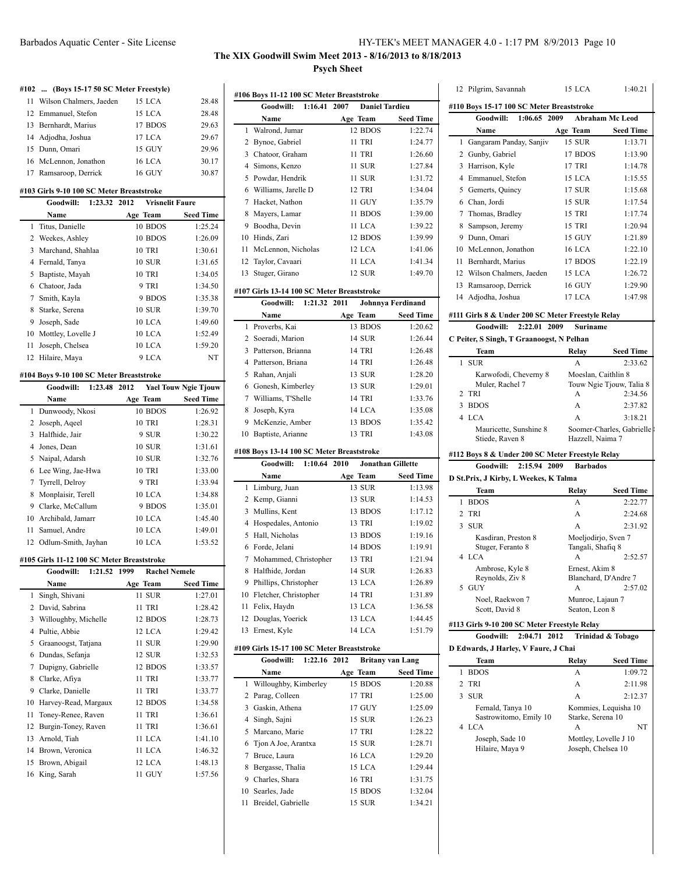# **The XIX Goodwill Swim Meet 2013 - 8/16/2013 to 8/18/2013 Psych Sheet**

|        | #102  (Boys 15-17 50 SC Meter Freestyle)                          |                                |                             |
|--------|-------------------------------------------------------------------|--------------------------------|-----------------------------|
| 11     | Wilson Chalmers, Jaeden                                           | 15 LCA                         | 28.48                       |
| 12     | Emmanuel, Stefon                                                  | 15 LCA                         | 28.48                       |
|        | 13 Bernhardt, Marius                                              | 17 BDOS                        | 29.63                       |
|        | 14 Adjodha, Joshua                                                | 17 LCA                         | 29.67                       |
|        | 15 Dunn, Omari                                                    | 15 GUY                         | 29.96                       |
|        | 16 McLennon, Jonathon                                             | <b>16 LCA</b>                  | 30.17                       |
|        | 17 Ramsaroop, Derrick                                             | <b>16 GUY</b>                  | 30.87                       |
|        |                                                                   |                                |                             |
|        | #103 Girls 9-10 100 SC Meter Breaststroke<br>Goodwill:<br>1:23.32 | 2012<br><b>Vrisnelit Faure</b> |                             |
|        |                                                                   |                                |                             |
|        | Name                                                              | Age Team                       | <b>Seed Time</b>            |
| 1      | Titus, Danielle                                                   | 10 BDOS                        | 1:25.24                     |
|        | 2 Weekes, Ashley                                                  | 10 BDOS                        | 1:26.09                     |
| 3      | Marchand, Shahlaa                                                 | 10 TRI                         | 1:30.61                     |
|        | 4 Fernald, Tanya                                                  | <b>10 SUR</b>                  | 1:31.65                     |
|        | 5 Baptiste, Mayah                                                 | 10 TRI                         | 1:34.05                     |
|        | 6 Chatoor, Jada                                                   | 9 TRI                          | 1:34.50                     |
| 7      | Smith, Kayla                                                      | 9 BDOS                         | 1:35.38                     |
| 8      | Starke, Serena                                                    | <b>10 SUR</b>                  | 1:39.70                     |
| 9      | Joseph, Sade                                                      | 10 LCA                         | 1:49.60                     |
|        | 10 Mottley, Lovelle J                                             | 10 LCA                         | 1:52.49                     |
| 11     | Joseph, Chelsea                                                   | 10 LCA                         | 1:59.20                     |
|        | 12 Hilaire, Maya                                                  | 9 LCA                          | <b>NT</b>                   |
|        | #104 Boys 9-10 100 SC Meter Breaststroke                          |                                |                             |
|        | <b>Goodwill:</b><br>1:23.48                                       | 2012                           | <b>Yael Touw Ngie Tjouw</b> |
|        | Name                                                              | Age Team                       | <b>Seed Time</b>            |
| 1      | Dunwoody, Nkosi                                                   | 10 BDOS                        | 1:26.92                     |
| 2      | Joseph, Aqeel                                                     | 10 TRI                         | 1:28.31                     |
| 3      | Halfhide, Jair                                                    | 9 SUR                          | 1:30.22                     |
| 4      | Jones, Dean                                                       | <b>10 SUR</b>                  | 1:31.61                     |
| 5      | Naipal, Adarsh                                                    | <b>10 SUR</b>                  | 1:32.76                     |
| 6      | Lee Wing, Jae-Hwa                                                 | <b>10 TRI</b>                  | 1:33.00                     |
| 7      | Tyrrell, Delroy                                                   | 9 TRI                          | 1:33.94                     |
| 8      | Monplaisir, Terell                                                | 10 LCA                         | 1:34.88                     |
| 9      | Clarke, McCallum                                                  | 9 BDOS                         | 1:35.01                     |
|        | 10 Archibald, Jamarr                                              | 10 LCA                         | 1:45.40                     |
| 11     | Samuel, Andre                                                     | 10 LCA                         | 1:49.01                     |
| 12     | Odlum-Smith, Jayhan                                               | 10 LCA                         | 1:53.52                     |
|        |                                                                   |                                |                             |
|        | #105 Girls 11-12 100 SC Meter Breaststroke                        |                                |                             |
|        | 1:21.52<br>Goodwill:                                              | 1999<br><b>Rachel Nemele</b>   |                             |
|        | Name                                                              | Age Team                       | <b>Seed Time</b>            |
| 1<br>2 | Singh, Shivani                                                    | 11 SUR<br>11 TRI               | 1:27.01                     |
| 3      | David, Sabrina                                                    |                                | 1:28.42                     |
| 4      | Willoughby, Michelle                                              | 12 BDOS                        | 1:28.73                     |
|        | Pultie, Abbie                                                     | 12 LCA<br>11 SUR               | 1:29.42<br>1:29.90          |
| 5      | Graanoogst, Tatjana<br>Dundas, Sefanja                            |                                |                             |
| 6<br>7 |                                                                   | 12 SUR<br>12 BDOS              | 1:32.53                     |
|        | Dupigny, Gabrielle                                                |                                | 1:33.57                     |
| 8      | Clarke, Afiya                                                     | 11 TRI                         | 1:33.77                     |
| 9      | Clarke, Danielle                                                  | 11 TRI                         | 1:33.77                     |
| 10     | Harvey-Read, Margaux                                              | 12 BDOS                        | 1:34.58                     |
| 11     | Toney-Renee, Raven                                                | 11 TRI                         | 1:36.61                     |
| 12     | Burgin-Toney, Raven                                               | 11 TRI                         | 1:36.61                     |
| 13     | Arnold, Tiah                                                      | 11 LCA                         | 1:41.10                     |
| 14     | Brown, Veronica                                                   | 11 LCA                         | 1:46.32                     |
| 15     | Brown, Abigail                                                    | 12 LCA                         | 1:48.13                     |
| 16     | King, Sarah                                                       | 11 GUY                         | 1:57.56                     |

|    |                                            |              | #106 Boys 11-12 100 SC Meter Breaststroke |               |                       |
|----|--------------------------------------------|--------------|-------------------------------------------|---------------|-----------------------|
|    | <b>Goodwill:</b>                           | 1:16.41 2007 |                                           |               | <b>Daniel Tardieu</b> |
|    | Name                                       |              |                                           | Age Team      | <b>Seed Time</b>      |
| 1  | Walrond, Jumar                             |              |                                           | 12 BDOS       | 1:22.74               |
| 2  | Bynoe, Gabriel                             |              |                                           | <b>11 TRI</b> | 1:24.77               |
| 3  | Chatoor, Graham                            |              |                                           | <b>11 TRI</b> | 1:26.60               |
| 4  | Simons, Kenzo                              |              |                                           | 11 SUR        | 1:27.84               |
| 5  | Powdar, Hendrik                            |              |                                           | 11 SUR        | 1:31.72               |
| 6  | Williams, Jarelle D                        |              |                                           | <b>12 TRI</b> | 1:34.04               |
| 7  | Hacket, Nathon                             |              |                                           | 11 GUY        | 1:35.79               |
| 8  | Mayers, Lamar                              |              |                                           | 11 BDOS       | 1:39.00               |
| 9  | Boodha, Devin                              |              |                                           | 11 LCA        | 1:39.22               |
| 10 | Hinds, Zari                                |              |                                           | 12 BDOS       | 1:39.99               |
| 11 | McLennon, Nicholas                         |              |                                           | $12$ LCA      | 1:41.06               |
| 12 | Taylor, Cavaari                            |              |                                           | 11 LCA        | 1:41.34               |
| 13 | Stuger, Girano                             |              |                                           | <b>12 SUR</b> | 1:49.70               |
|    | #107 Girls 13-14 100 SC Meter Breaststroke |              |                                           |               |                       |
|    | Goodwill:                                  | 1:21.32 2011 |                                           |               | Johnnya Ferdinand     |
|    | Name                                       |              |                                           | Age Team      | <b>Seed Time</b>      |
| 1  | Proverbs, Kai                              |              |                                           | 13 BDOS       | 1:20.62               |
| 2  | Soeradi, Marion                            |              |                                           | 14 SUR        | 1:26.44               |
|    |                                            |              |                                           |               |                       |
| 3  | Patterson, Brianna                         |              |                                           | 14 TRI        | 1:26.48               |
| 4  | Patterson, Briana                          |              |                                           | 14 TRI        | 1:26.48               |
| 5  | Rahan, Anjali                              |              |                                           | 13 SUR        | 1:28.20               |
| 6  | Gonesh, Kimberley                          |              |                                           | 13 SUR        | 1:29.01               |

### **#108 Boys 13-14 100 SC Meter Breaststroke**

|    | 1:10.64 2010<br>Goodwill:                  | <b>Jonathan Gillette</b> |                  |
|----|--------------------------------------------|--------------------------|------------------|
|    | Name                                       | Age Team                 | <b>Seed Time</b> |
|    | 1 Limburg, Juan                            | 13 SUR                   | 1:13.98          |
|    | 2 Kemp, Gianni                             | 13 SUR                   | 1:14.53          |
| 3  | Mullins, Kent                              | 13 BDOS                  | 1:17.12          |
| 4  | Hospedales, Antonio                        | 13 TRI                   | 1:19.02          |
| 5  | Hall, Nicholas                             | 13 BDOS                  | 1:19.16          |
| 6  | Forde, Jelani                              | 14 BDOS                  | 1:19.91          |
| 7  | Mohammed, Christopher                      | 13 TRI                   | 1:21.94          |
| 8  | Halfhide, Jordan                           | 14 SUR                   | 1:26.83          |
| 9  | Phillips, Christopher                      | 13 LCA                   | 1:26.89          |
| 10 | Fletcher, Christopher                      | 14 TRI                   | 1:31.89          |
| 11 | Felix, Haydn                               | 13 LCA                   | 1:36.58          |
|    | 12 Douglas, Yoerick                        | 13 LCA                   | 1:44.45          |
|    | 13 Ernest, Kyle                            | 14 LCA                   | 1:51.79          |
|    | #109 Girls 15-17 100 SC Meter Breaststroke |                          |                  |

8 Joseph, Kyra 14 LCA 1:35.08 McKenzie, Amber 13 BDOS 1:35.42 Baptiste, Arianne 13 TRI 1:43.08

|    | Goodwill: 1:22.16 2012  | <b>Britany van Lang</b> |                  |
|----|-------------------------|-------------------------|------------------|
|    | Name                    | Age Team                | <b>Seed Time</b> |
|    | 1 Willoughby, Kimberley | 15 BDOS                 | 1:20.88          |
|    | 2 Parag, Colleen        | 17 TRI                  | 1:25.00          |
|    | 3 Gaskin, Athena        | 17 GUY                  | 1:25.09          |
|    | 4 Singh, Sajni          | <b>15 SUR</b>           | 1:26.23          |
|    | 5 Marcano, Marie        | 17 TRI                  | 1:28.22          |
|    | 6 Tjon A Joe, Arantxa   | <b>15 SUR</b>           | 1:28.71          |
|    | 7 Bruce, Laura          | <b>16 LCA</b>           | 1:29.20          |
| 8  | Bergasse, Thalia        | 15 LCA                  | 1:29.44          |
| 9  | Charles, Shara          | <b>16 TRI</b>           | 1:31.75          |
|    | 10 Searles, Jade        | 15 BDOS                 | 1:32.04          |
| 11 | Breidel, Gabrielle      | <b>15 SUR</b>           | 1:34.21          |

|   | 12 Pilgrim, Savannah                         | 15 LCA                                                                              | 1:40.21                                                                                                                                              |
|---|----------------------------------------------|-------------------------------------------------------------------------------------|------------------------------------------------------------------------------------------------------------------------------------------------------|
|   |                                              | #110 Boys 15-17 100 SC Meter Breaststroke                                           |                                                                                                                                                      |
|   | Goodwill: 1:06.65 2009                       |                                                                                     | <b>Abraham Mc Leod</b>                                                                                                                               |
|   | Name                                         | Age Team                                                                            | <b>Seed Time</b>                                                                                                                                     |
| 1 | Gangaram Panday, Sanjiv                      | <b>15 SUR</b>                                                                       | 1:13.71                                                                                                                                              |
|   | 2 Gunby, Gabriel                             | 17 BDOS                                                                             | 1:13.90                                                                                                                                              |
|   | 3 Harrison, Kyle                             | 17 TRI                                                                              | 1:14.78                                                                                                                                              |
|   | 4 Emmanuel, Stefon                           | 15 LCA                                                                              | 1:15.55                                                                                                                                              |
|   | 5 Gemerts, Quincy                            | 17 SUR                                                                              | 1:15.68                                                                                                                                              |
|   | 6 Chan, Jordi                                | 15 SUR                                                                              | 1:17.54                                                                                                                                              |
|   | 7 Thomas, Bradley                            | 15 TRI                                                                              | 1:17.74                                                                                                                                              |
|   | 8 Sampson, Jeremy                            | 15 TRI                                                                              | 1:20.94                                                                                                                                              |
|   | 9 Dunn, Omari                                | 15 GUY                                                                              | 1:21.89                                                                                                                                              |
|   | 10 McLennon, Jonathon                        | <b>16 LCA</b>                                                                       | 1:22.10                                                                                                                                              |
|   | 11 Bernhardt, Marius                         | 17 BDOS                                                                             | 1:22.19                                                                                                                                              |
|   | 12 Wilson Chalmers, Jaeden                   | 15 LCA                                                                              | 1:26.72                                                                                                                                              |
|   | 13 Ramsaroop, Derrick                        | <b>16 GUY</b>                                                                       | 1:29.90                                                                                                                                              |
|   | 14 Adjodha, Joshua                           | 17 LCA                                                                              | 1:47.98                                                                                                                                              |
|   |                                              | #111 Girls 8 & Under 200 SC Meter Freestyle Relay                                   |                                                                                                                                                      |
|   | Goodwill: 2:22.01 2009                       | <b>Suriname</b>                                                                     |                                                                                                                                                      |
|   | C Peiter, S Singh, T Graanoogst, N Pelhan    |                                                                                     |                                                                                                                                                      |
|   | Team                                         | Relay                                                                               | <b>Seed Time</b>                                                                                                                                     |
| 1 | <b>SUR</b>                                   | A                                                                                   | 2:33.62                                                                                                                                              |
|   | Karwofodi, Cheverny 8                        |                                                                                     | Moeslan, Caithlin 8                                                                                                                                  |
|   | Muler, Rachel 7<br>2 TRI                     | А                                                                                   | Touw Ngie Tjouw, Talia 8<br>2:34.56                                                                                                                  |
|   | 3 BDOS                                       | A                                                                                   | 2:37.82                                                                                                                                              |
|   | 4 LCA                                        | A                                                                                   | 3:18.21                                                                                                                                              |
|   | Mauricette, Sunshine 8                       |                                                                                     | Soomer-Charles, Gabrielle                                                                                                                            |
|   |                                              |                                                                                     |                                                                                                                                                      |
|   | Stiede, Raven 8                              | Hazzell, Naima 7                                                                    |                                                                                                                                                      |
|   |                                              |                                                                                     |                                                                                                                                                      |
|   | Goodwill:                                    | #112 Boys 8 & Under 200 SC Meter Freestyle Relay<br>2:15.94 2009<br><b>Barbados</b> |                                                                                                                                                      |
|   | D St.Prix, J Kirby, L Weekes, K Talma        |                                                                                     |                                                                                                                                                      |
|   | Team                                         | Relay                                                                               |                                                                                                                                                      |
|   | 1 BDOS                                       | A                                                                                   |                                                                                                                                                      |
|   | 2 TRI                                        | A                                                                                   |                                                                                                                                                      |
|   | 3 SUR                                        | A                                                                                   |                                                                                                                                                      |
|   | Kasdiran, Preston 8                          |                                                                                     | Moeljodirjo, Sven 7                                                                                                                                  |
|   | Stuger, Feranto 8                            | Tangali, Shafiq 8                                                                   |                                                                                                                                                      |
|   | 4 LCA                                        | А                                                                                   |                                                                                                                                                      |
|   | Ambrose, Kyle 8                              | Ernest, Akim 8                                                                      |                                                                                                                                                      |
|   | Reynolds, Ziv 8<br>5 GUY                     | А                                                                                   | Blanchard, D'Andre 7                                                                                                                                 |
|   | Noel, Raekwon 7                              | Munroe, Lajaun 7                                                                    |                                                                                                                                                      |
|   | Scott, David 8                               | Seaton, Leon 8                                                                      |                                                                                                                                                      |
|   |                                              | #113 Girls 9-10 200 SC Meter Freestyle Relay                                        |                                                                                                                                                      |
|   | Goodwill:                                    | 2:04.71<br>2012                                                                     | Trinidad & Tobago                                                                                                                                    |
|   | D Edwards, J Harley, V Faure, J Chai<br>Team | Relay                                                                               |                                                                                                                                                      |
| 1 | <b>BDOS</b>                                  | A                                                                                   |                                                                                                                                                      |
| 2 | TRI                                          | A                                                                                   |                                                                                                                                                      |
| 3 | SUR                                          | A                                                                                   |                                                                                                                                                      |
|   | Fernald, Tanya 10                            |                                                                                     | Kommies, Lequisha 10                                                                                                                                 |
|   | Sastrowitomo, Emily 10<br>4 LCA              | Starke, Serena 10<br>А                                                              |                                                                                                                                                      |
|   | Joseph, Sade 10                              |                                                                                     | <b>Seed Time</b><br>2:22.77<br>2:24.68<br>2:31.92<br>2:52.57<br>2:57.02<br>Seed Time<br>1:09.72<br>2:11.98<br>2:12.37<br>NT<br>Mottley, Lovelle J 10 |